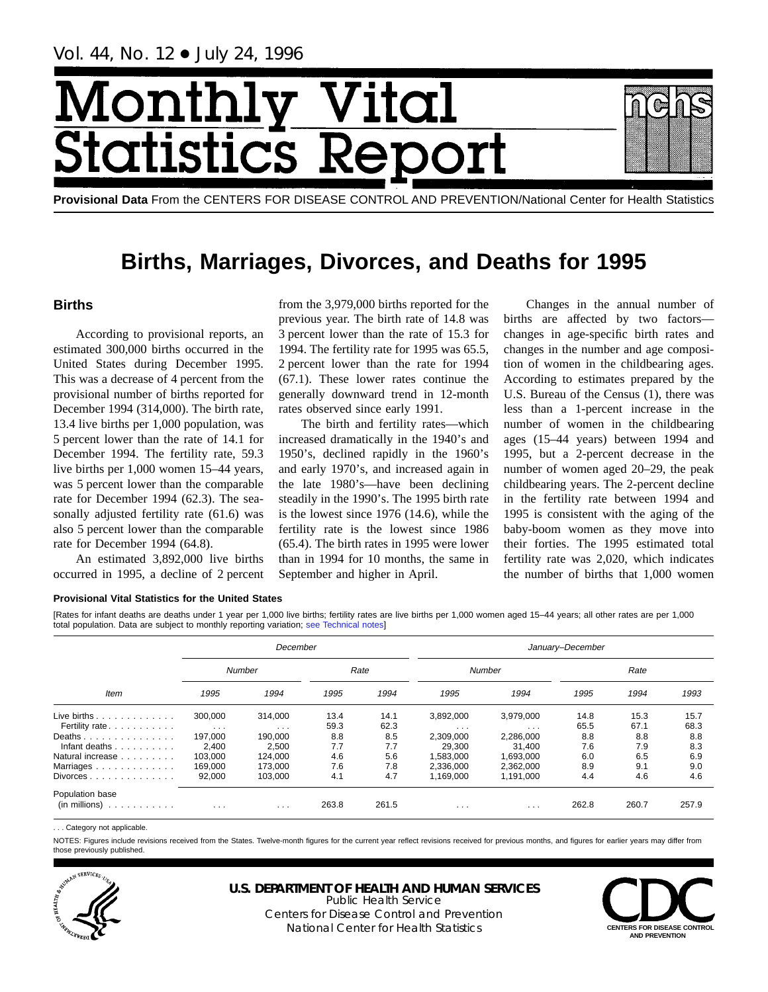Vol. 44, No. 12 + July 24, 1996

# Month Vital  $\overline{\text{cs}}$   $\overline{\text{R}}$

**Provisional Data** From the CENTERS FOR DISEASE CONTROL AND PREVENTION/National Center for Health Statistics

# **Births, Marriages, Divorces, and Deaths for 1995**

# **Births**

According to provisional reports, an estimated 300,000 births occurred in the United States during December 1995. This was a decrease of 4 percent from the provisional number of births reported for December 1994 (314,000). The birth rate, 13.4 live births per 1,000 population, was 5 percent lower than the rate of 14.1 for December 1994. The fertility rate, 59.3 live births per 1,000 women 15–44 years, was 5 percent lower than the comparable rate for December 1994 (62.3). The seasonally adjusted fertility rate (61.6) was also 5 percent lower than the comparable rate for December 1994 (64.8).

An estimated 3,892,000 live births occurred in 1995, a decline of 2 percent

from the 3,979,000 births reported for the previous year. The birth rate of 14.8 was 3 percent lower than the rate of 15.3 for 1994. The fertility rate for 1995 was 65.5, 2 percent lower than the rate for 1994 (67.1). These lower rates continue the generally downward trend in 12-month rates observed since early 1991.

The birth and fertility rates—which increased dramatically in the 1940's and 1950's, declined rapidly in the 1960's and early 1970's, and increased again in the late 1980's—have been declining steadily in the 1990's. The 1995 birth rate is the lowest since 1976 (14.6), while the fertility rate is the lowest since 1986 (65.4). The birth rates in 1995 were lower than in 1994 for 10 months, the same in September and higher in April.

Changes in the annual number of births are affected by two factors changes in age-specific birth rates and changes in the number and age composition of women in the childbearing ages. According to estimates prepared by the U.S. Bureau of the Census (1), there was less than a 1-percent increase in the number of women in the childbearing ages (15–44 years) between 1994 and 1995, but a 2-percent decrease in the number of women aged 20–29, the peak childbearing years. The 2-percent decline in the fertility rate between 1994 and 1995 is consistent with the aging of the baby-boom women as they move into their forties. The 1995 estimated total fertility rate was 2,020, which indicates the number of births that 1,000 women

#### **Provisional Vital Statistics for the United States**

[Rates for infant deaths are deaths under 1 year per 1,000 live births; fertility rates are live births per 1,000 women aged 15–44 years; all other rates are per 1,000 total population. Data are subject to monthly reporting variation; [see Technical notes\]](#page-16-0)

|      |               | January-December      |           |                    |               |               |  |  |  |
|------|---------------|-----------------------|-----------|--------------------|---------------|---------------|--|--|--|
|      |               |                       |           |                    | Rate          |               |  |  |  |
| 1995 | 1994          | 1995                  | 1994      | 1995               | 1994          | 1993          |  |  |  |
| 13.4 | 14.1          | 3,892,000             | 3,979,000 | 14.8               | 15.3          | 15.7          |  |  |  |
|      |               | $\cdots$              | $\cdots$  |                    |               | 68.3          |  |  |  |
| 8.8  | 8.5           | 2,309,000             | 2,286,000 | 8.8                | 8.8           | 8.8           |  |  |  |
| 7.7  | 7.7           | 29,300                | 31.400    | 7.6                | 7.9           | 8.3           |  |  |  |
| 4.6  | 5.6           | 1.583.000             | 1.693.000 | 6.0                | 6.5           | 6.9           |  |  |  |
| 7.6  | 7.8           | 2.336.000             | 2.362.000 | 8.9                | 9.1           | 9.0           |  |  |  |
| 4.1  | 4.7           | 1.169.000             | 1,191,000 | 4.4                | 4.6           | 4.6           |  |  |  |
|      |               |                       |           |                    |               | 257.9         |  |  |  |
|      | 59.3<br>263.8 | Rate<br>62.3<br>261.5 | $\cdots$  | Number<br>$\cdots$ | 65.5<br>262.8 | 67.1<br>260.7 |  |  |  |

. . . Category not applicable.

NOTES: Figures include revisions received from the States. Twelve-month figures for the current year reflect revisions received for previous months, and figures for earlier years may differ from those previously published.



**U.S. DEPARTMENT OF HEALTH AND HUMAN SERVICES**

Public Health Service Centers for Disease Control and Prevention National Center for Health Statistics **CENTERS FOR DISEASE CONTROL** 

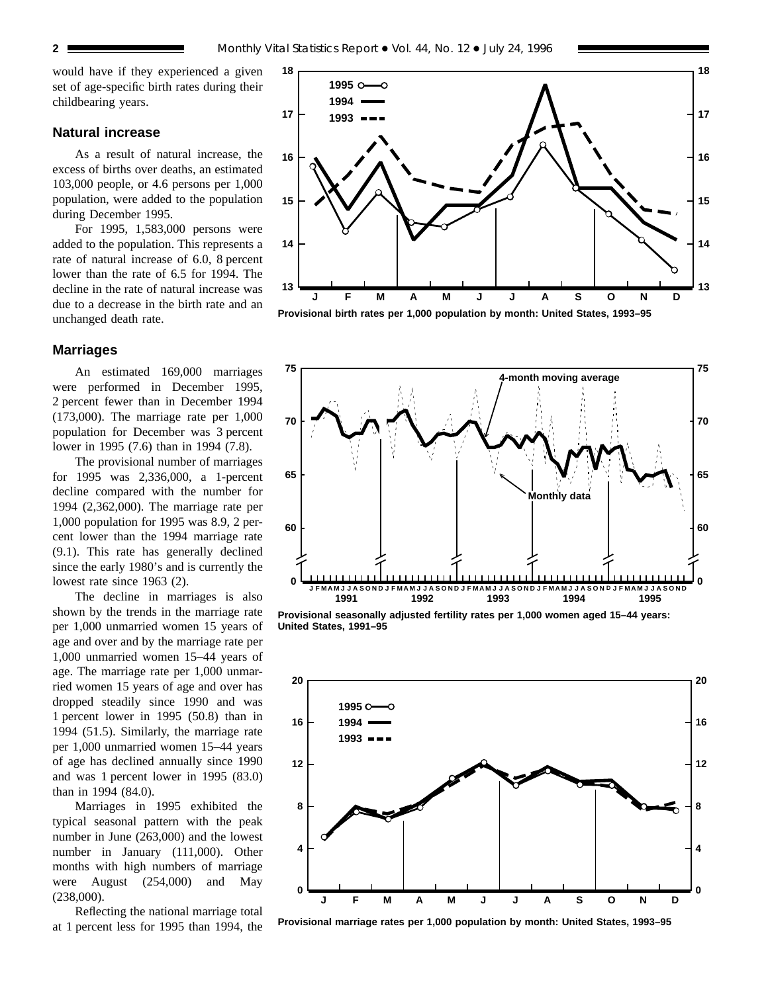would have if they experienced a given set of age-specific birth rates during their childbearing years.

### **Natural increase**

As a result of natural increase, the excess of births over deaths, an estimated 103,000 people, or 4.6 persons per 1,000 population, were added to the population during December 1995.

For 1995, 1,583,000 persons were added to the population. This represents a rate of natural increase of 6.0, 8 percent lower than the rate of 6.5 for 1994. The decline in the rate of natural increase was due to a decrease in the birth rate and an unchanged death rate.

## **Marriages**

An estimated 169,000 marriages were performed in December 1995, 2 percent fewer than in December 1994 (173,000). The marriage rate per 1,000 population for December was 3 percent lower in 1995 (7.6) than in 1994 (7.8).

The provisional number of marriages for 1995 was 2,336,000, a 1-percent decline compared with the number for 1994 (2,362,000). The marriage rate per 1,000 population for 1995 was 8.9, 2 percent lower than the 1994 marriage rate (9.1). This rate has generally declined since the early 1980's and is currently the lowest rate since 1963 (2).

The decline in marriages is also shown by the trends in the marriage rate per 1,000 unmarried women 15 years of age and over and by the marriage rate per 1,000 unmarried women 15–44 years of age. The marriage rate per 1,000 unmarried women 15 years of age and over has dropped steadily since 1990 and was 1 percent lower in 1995 (50.8) than in 1994 (51.5). Similarly, the marriage rate per 1,000 unmarried women 15–44 years of age has declined annually since 1990 and was 1 percent lower in 1995 (83.0) than in 1994 (84.0).

Marriages in 1995 exhibited the typical seasonal pattern with the peak number in June (263,000) and the lowest number in January (111,000). Other months with high numbers of marriage were August (254,000) and May (238,000).

Reflecting the national marriage total at 1 percent less for 1995 than 1994, the



**Provisional birth rates per 1,000 population by month: United States, 1993–95**



**Provisional seasonally adjusted fertility rates per 1,000 women aged 15–44 years: United States, 1991–95**



**Provisional marriage rates per 1,000 population by month: United States, 1993–95**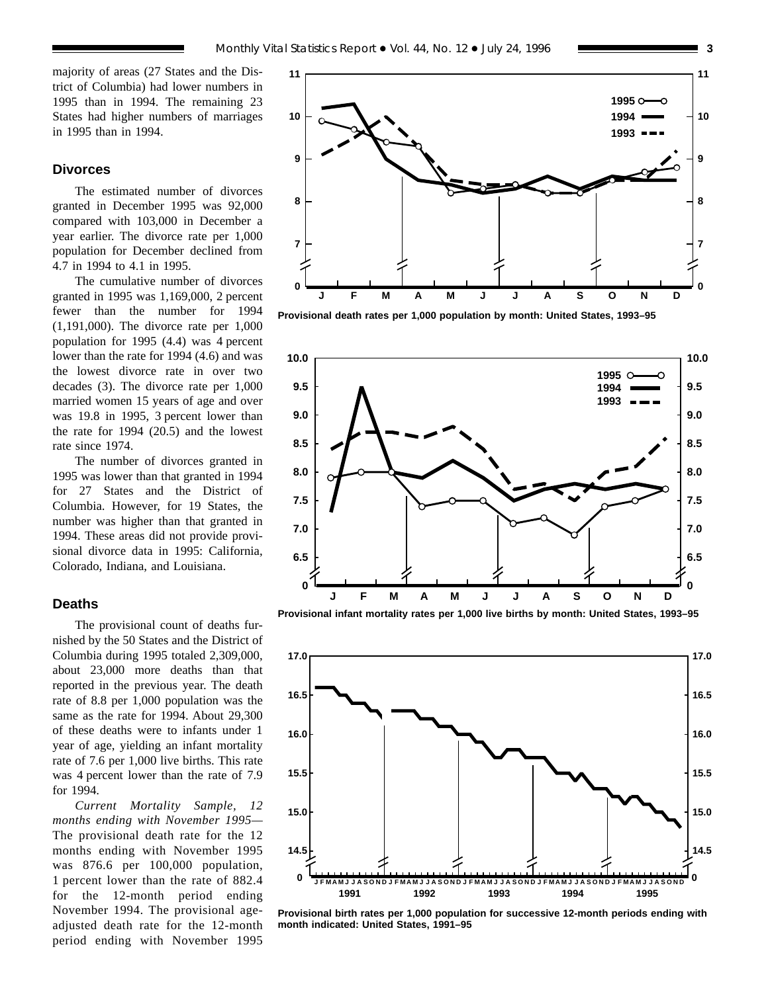majority of areas (27 States and the District of Columbia) had lower numbers in 1995 than in 1994. The remaining 23 States had higher numbers of marriages in 1995 than in 1994.

#### **Divorces**

The estimated number of divorces granted in December 1995 was 92,000 compared with 103,000 in December a year earlier. The divorce rate per 1,000 population for December declined from 4.7 in 1994 to 4.1 in 1995.

The cumulative number of divorces granted in 1995 was 1,169,000, 2 percent fewer than the number for 1994 (1,191,000). The divorce rate per 1,000 population for 1995 (4.4) was 4 percent lower than the rate for 1994 (4.6) and was the lowest divorce rate in over two decades (3). The divorce rate per 1,000 married women 15 years of age and over was 19.8 in 1995, 3 percent lower than the rate for 1994 (20.5) and the lowest rate since 1974.

The number of divorces granted in 1995 was lower than that granted in 1994 for 27 States and the District of Columbia. However, for 19 States, the number was higher than that granted in 1994. These areas did not provide provisional divorce data in 1995: California, Colorado, Indiana, and Louisiana.

#### **Deaths**

The provisional count of deaths furnished by the 50 States and the District of Columbia during 1995 totaled 2,309,000, about 23,000 more deaths than that reported in the previous year. The death rate of 8.8 per 1,000 population was the same as the rate for 1994. About 29,300 of these deaths were to infants under 1 year of age, yielding an infant mortality rate of 7.6 per 1,000 live births. This rate was 4 percent lower than the rate of 7.9 for 1994.

*Current Mortality Sample, 12 months ending with November 1995—* The provisional death rate for the 12 months ending with November 1995 was 876.6 per 100,000 population, 1 percent lower than the rate of 882.4 for the 12-month period ending November 1994. The provisional ageadjusted death rate for the 12-month period ending with November 1995



**Provisional death rates per 1,000 population by month: United States, 1993–95**



**Provisional infant mortality rates per 1,000 live births by month: United States, 1993–95**



**Provisional birth rates per 1,000 population for successive 12-month periods ending with month indicated: United States, 1991–95**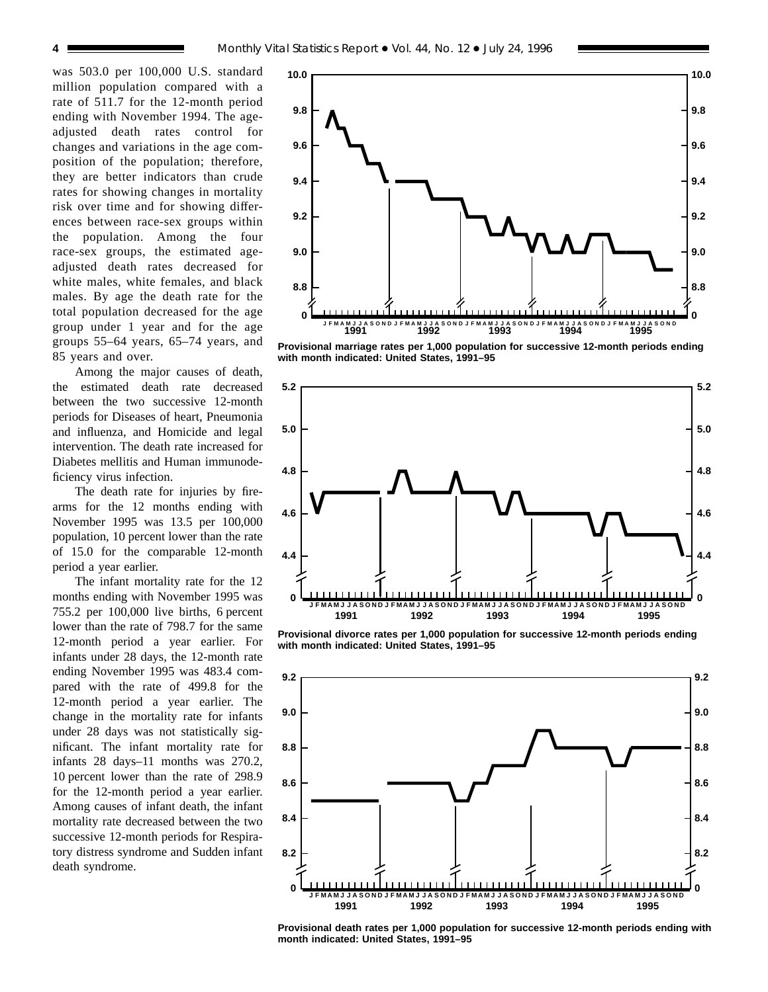was 503.0 per 100,000 U.S. standard million population compared with a rate of 511.7 for the 12-month period ending with November 1994. The ageadjusted death rates control for changes and variations in the age composition of the population; therefore, they are better indicators than crude rates for showing changes in mortality risk over time and for showing differences between race-sex groups within the population. Among the four race-sex groups, the estimated ageadjusted death rates decreased for white males, white females, and black males. By age the death rate for the total population decreased for the age group under 1 year and for the age groups 55–64 years, 65–74 years, and 85 years and over.

Among the major causes of death, the estimated death rate decreased between the two successive 12-month periods for Diseases of heart, Pneumonia and influenza, and Homicide and legal intervention. The death rate increased for Diabetes mellitis and Human immunodeficiency virus infection.

The death rate for injuries by firearms for the 12 months ending with November 1995 was 13.5 per 100,000 population, 10 percent lower than the rate of 15.0 for the comparable 12-month period a year earlier.

The infant mortality rate for the 12 months ending with November 1995 was 755.2 per 100,000 live births, 6 percent lower than the rate of 798.7 for the same 12-month period a year earlier. For infants under 28 days, the 12-month rate ending November 1995 was 483.4 compared with the rate of 499.8 for the 12-month period a year earlier. The change in the mortality rate for infants under 28 days was not statistically significant. The infant mortality rate for infants 28 days–11 months was 270.2, 10 percent lower than the rate of 298.9 for the 12-month period a year earlier. Among causes of infant death, the infant mortality rate decreased between the two successive 12-month periods for Respiratory distress syndrome and Sudden infant death syndrome.



**Provisional marriage rates per 1,000 population for successive 12-month periods ending with month indicated: United States, 1991–95**



**Provisional divorce rates per 1,000 population for successive 12-month periods ending with month indicated: United States, 1991–95**



**Provisional death rates per 1,000 population for successive 12-month periods ending with month indicated: United States, 1991–95**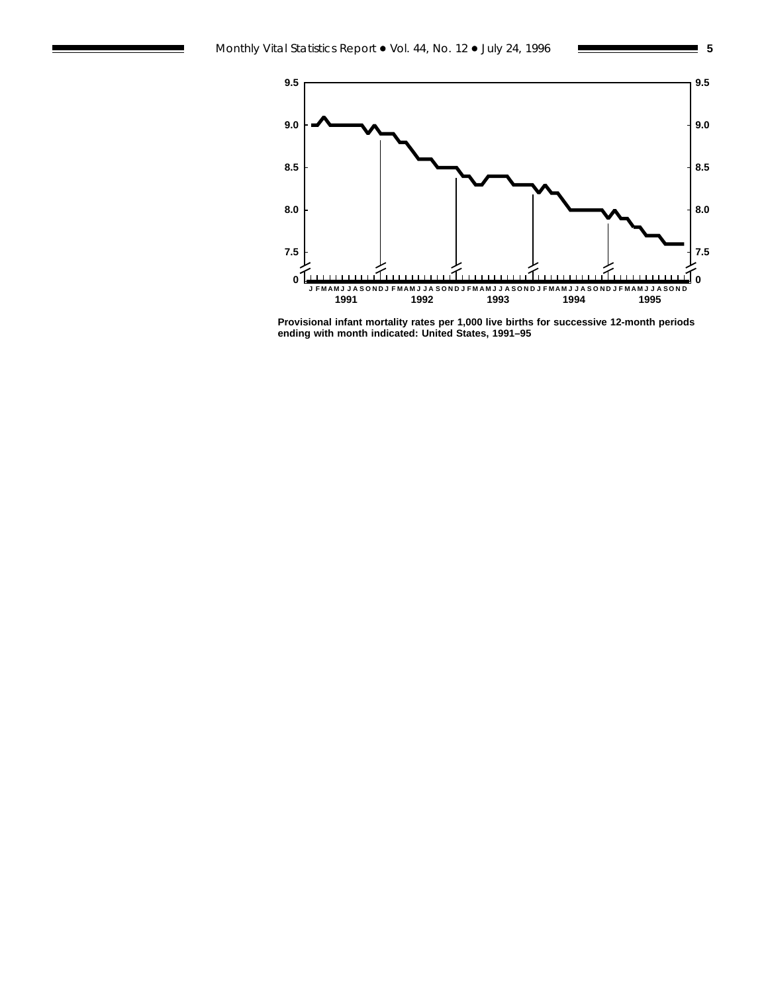

**Provisional infant mortality rates per 1,000 live births for successive 12-month periods ending with month indicated: United States, 1991–95**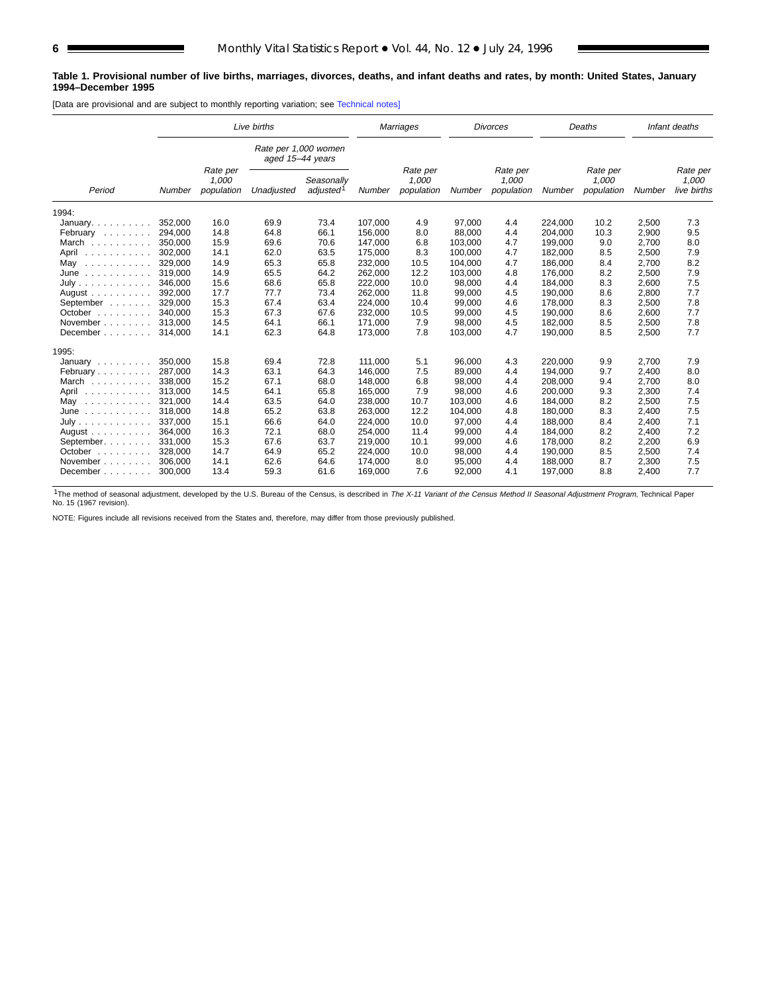#### **Table 1. Provisional number of live births, marriages, divorces, deaths, and infant deaths and rates, by month: United States, January 1994–December 1995**

[Data are provisional and are subject to monthly reporting variation; see [Technical notes\]](#page-16-0)

|                                                                                                | Live births<br>Rate per 1,000 women |                                 |                  |                                     | Marriages |                                 | <b>Divorces</b> |                                 | Deaths  |                                 | Infant deaths |                                  |
|------------------------------------------------------------------------------------------------|-------------------------------------|---------------------------------|------------------|-------------------------------------|-----------|---------------------------------|-----------------|---------------------------------|---------|---------------------------------|---------------|----------------------------------|
|                                                                                                |                                     |                                 | aged 15-44 years |                                     |           |                                 |                 |                                 |         |                                 |               |                                  |
| Period                                                                                         | Number                              | Rate per<br>1,000<br>population | Unadjusted       | Seasonally<br>adjusted <sup>1</sup> | Number    | Rate per<br>1,000<br>population | Number          | Rate per<br>1,000<br>population | Number  | Rate per<br>1,000<br>population | Number        | Rate per<br>1,000<br>live births |
| 1994:                                                                                          |                                     |                                 |                  |                                     |           |                                 |                 |                                 |         |                                 |               |                                  |
| January. $\ldots$ .                                                                            | 352,000                             | 16.0                            | 69.9             | 73.4                                | 107,000   | 4.9                             | 97,000          | 4.4                             | 224,000 | 10.2                            | 2,500         | 7.3                              |
| February                                                                                       | 294.000                             | 14.8                            | 64.8             | 66.1                                | 156.000   | 8.0                             | 88.000          | 4.4                             | 204.000 | 10.3                            | 2,900         | 9.5                              |
| March                                                                                          | 350,000                             | 15.9                            | 69.6             | 70.6                                | 147,000   | 6.8                             | 103,000         | 4.7                             | 199,000 | 9.0                             | 2,700         | 8.0                              |
| April<br>$\begin{array}{cccccccccccccc} . & . & . & . & . & . & . & . & . & . & . \end{array}$ | 302,000                             | 14.1                            | 62.0             | 63.5                                | 175,000   | 8.3                             | 100,000         | 4.7                             | 182,000 | 8.5                             | 2,500         | 7.9                              |
| May<br>.                                                                                       | 329,000                             | 14.9                            | 65.3             | 65.8                                | 232,000   | 10.5                            | 104,000         | 4.7                             | 186,000 | 8.4                             | 2,700         | 8.2                              |
| June<br>.                                                                                      | 319.000                             | 14.9                            | 65.5             | 64.2                                | 262,000   | 12.2                            | 103,000         | 4.8                             | 176.000 | 8.2                             | 2,500         | 7.9                              |
| July                                                                                           | 346,000                             | 15.6                            | 68.6             | 65.8                                | 222,000   | 10.0                            | 98,000          | 4.4                             | 184,000 | 8.3                             | 2,600         | 7.5                              |
| August $\ldots$ , $\ldots$                                                                     | 392,000                             | 17.7                            | 77.7             | 73.4                                | 262,000   | 11.8                            | 99,000          | 4.5                             | 190,000 | 8.6                             | 2,800         | 7.7                              |
| September                                                                                      | 329,000                             | 15.3                            | 67.4             | 63.4                                | 224,000   | 10.4                            | 99,000          | 4.6                             | 178.000 | 8.3                             | 2,500         | 7.8                              |
| October $\ldots$ , $\ldots$                                                                    | 340.000                             | 15.3                            | 67.3             | 67.6                                | 232,000   | 10.5                            | 99,000          | 4.5                             | 190,000 | 8.6                             | 2,600         | 7.7                              |
| November                                                                                       | 313,000                             | 14.5                            | 64.1             | 66.1                                | 171,000   | 7.9                             | 98,000          | 4.5                             | 182,000 | 8.5                             | 2,500         | 7.8                              |
| December $\ldots$ , $\ldots$                                                                   | 314.000                             | 14.1                            | 62.3             | 64.8                                | 173,000   | 7.8                             | 103,000         | 4.7                             | 190,000 | 8.5                             | 2,500         | 7.7                              |
| 1995:                                                                                          |                                     |                                 |                  |                                     |           |                                 |                 |                                 |         |                                 |               |                                  |
| January $\ldots$ , $\ldots$                                                                    | 350,000                             | 15.8                            | 69.4             | 72.8                                | 111,000   | 5.1                             | 96,000          | 4.3                             | 220,000 | 9.9                             | 2,700         | 7.9                              |
| February                                                                                       | 287.000                             | 14.3                            | 63.1             | 64.3                                | 146.000   | 7.5                             | 89.000          | 4.4                             | 194.000 | 9.7                             | 2.400         | 8.0                              |
| March                                                                                          | 338,000                             | 15.2                            | 67.1             | 68.0                                | 148.000   | 6.8                             | 98,000          | 4.4                             | 208.000 | 9.4                             | 2.700         | 8.0                              |
| April<br>.                                                                                     | 313,000                             | 14.5                            | 64.1             | 65.8                                | 165,000   | 7.9                             | 98,000          | 4.6                             | 200,000 | 9.3                             | 2,300         | 7.4                              |
| May<br>.                                                                                       | 321.000                             | 14.4                            | 63.5             | 64.0                                | 238,000   | 10.7                            | 103.000         | 4.6                             | 184.000 | 8.2                             | 2,500         | 7.5                              |
| June<br>.                                                                                      | 318.000                             | 14.8                            | 65.2             | 63.8                                | 263,000   | 12.2                            | 104,000         | 4.8                             | 180,000 | 8.3                             | 2,400         | 7.5                              |
| July                                                                                           | 337,000                             | 15.1                            | 66.6             | 64.0                                | 224,000   | 10.0                            | 97,000          | 4.4                             | 188,000 | 8.4                             | 2,400         | 7.1                              |
| August $\ldots$ , $\ldots$ , $\ldots$                                                          | 364,000                             | 16.3                            | 72.1             | 68.0                                | 254,000   | 11.4                            | 99,000          | 4.4                             | 184,000 | 8.2                             | 2,400         | 7.2                              |
| September.                                                                                     | 331.000                             | 15.3                            | 67.6             | 63.7                                | 219,000   | 10.1                            | 99.000          | 4.6                             | 178.000 | 8.2                             | 2,200         | 6.9                              |
| October $\ldots$ , $\ldots$                                                                    | 328.000                             | 14.7                            | 64.9             | 65.2                                | 224,000   | 10.0                            | 98,000          | 4.4                             | 190,000 | 8.5                             | 2,500         | 7.4                              |
| November.<br>1.1.1.1.1.1                                                                       | 306.000                             | 14.1                            | 62.6             | 64.6                                | 174,000   | 8.0                             | 95,000          | 4.4                             | 188,000 | 8.7                             | 2,300         | 7.5                              |
| December                                                                                       | 300.000                             | 13.4                            | 59.3             | 61.6                                | 169,000   | 7.6                             | 92,000          | 4.1                             | 197,000 | 8.8                             | 2,400         | 7.7                              |

<sup>1</sup>The method of seasonal adjustment, developed by the U.S. Bureau of the Census, is described in The X-11 Variant of the Census Method II Seasonal Adjustment Program, Technical Paper<br>No. 15 (1967 revision).

NOTE: Figures include all revisions received from the States and, therefore, may differ from those previously published.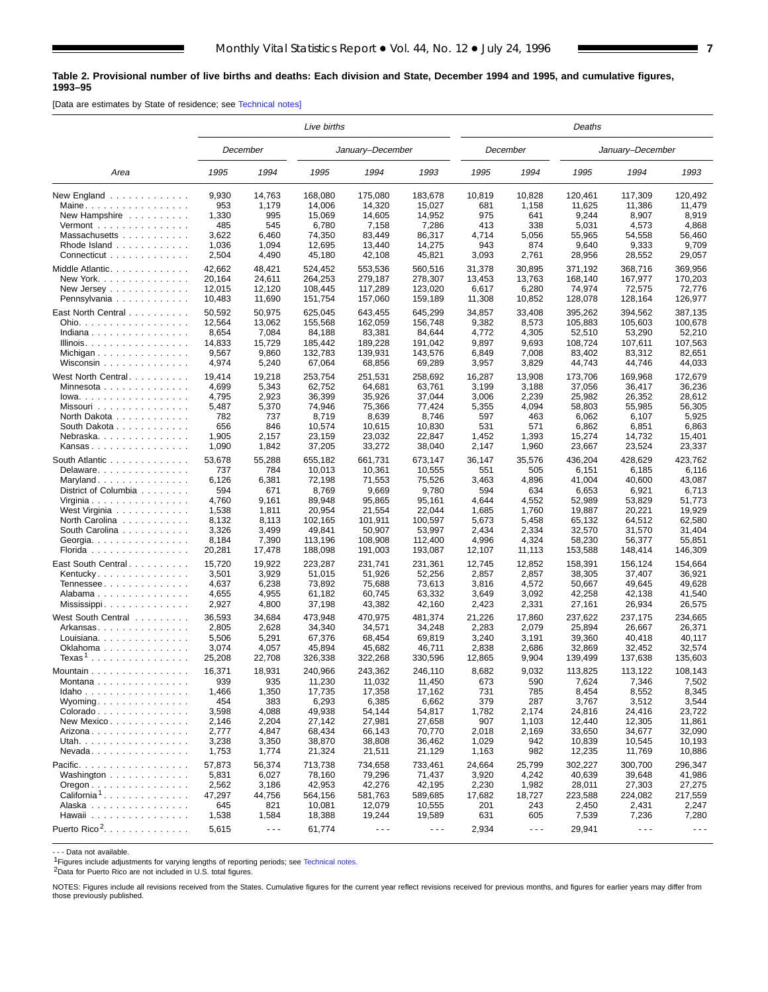#### <span id="page-6-0"></span>**Table 2. Provisional number of live births and deaths: Each division and State, December 1994 and 1995, and cumulative figures, 1993–95**

[Data are estimates by State of residence; see [Technical notes\]](#page-16-0)

|                                                                                                                  | <i>Live births</i><br>January-December<br>December                       |                                                                          |                                                                                   |                                                                                   |                                                                                   |                                                                        |                                                               | Deaths                                                                           |                                                                                  |                                                                                  |
|------------------------------------------------------------------------------------------------------------------|--------------------------------------------------------------------------|--------------------------------------------------------------------------|-----------------------------------------------------------------------------------|-----------------------------------------------------------------------------------|-----------------------------------------------------------------------------------|------------------------------------------------------------------------|---------------------------------------------------------------|----------------------------------------------------------------------------------|----------------------------------------------------------------------------------|----------------------------------------------------------------------------------|
|                                                                                                                  |                                                                          |                                                                          |                                                                                   |                                                                                   |                                                                                   |                                                                        | December                                                      |                                                                                  | January-December                                                                 |                                                                                  |
| Area                                                                                                             | 1995                                                                     | 1994                                                                     | 1995                                                                              | 1994                                                                              | 1993                                                                              | 1995                                                                   | 1994                                                          | 1995                                                                             | 1994                                                                             | 1993                                                                             |
| New England                                                                                                      | 9,930                                                                    | 14,763                                                                   | 168,080                                                                           | 175,080                                                                           | 183,678                                                                           | 10,819                                                                 | 10,828                                                        | 120,461                                                                          | 117.309                                                                          | 120,492                                                                          |
| Maine                                                                                                            | 953                                                                      | 1,179                                                                    | 14,006                                                                            | 14,320                                                                            | 15,027                                                                            | 681                                                                    | 1,158                                                         | 11,625                                                                           | 11,386                                                                           | 11,479                                                                           |
| New Hampshire                                                                                                    | 1,330                                                                    | 995                                                                      | 15,069                                                                            | 14,605                                                                            | 14,952                                                                            | 975                                                                    | 641                                                           | 9,244                                                                            | 8,907                                                                            | 8,919                                                                            |
| Vermont $\ldots$ , $\ldots$ , $\ldots$ , $\ldots$                                                                | 485                                                                      | 545                                                                      | 6,780                                                                             | 7,158                                                                             | 7,286                                                                             | 413                                                                    | 338                                                           | 5,031                                                                            | 4,573                                                                            | 4,868                                                                            |
| Massachusetts                                                                                                    | 3,622                                                                    | 6,460                                                                    | 74,350                                                                            | 83,449                                                                            | 86,317                                                                            | 4,714                                                                  | 5,056                                                         | 55,965                                                                           | 54,558                                                                           | 56,460                                                                           |
| Rhode Island                                                                                                     | 1,036                                                                    | 1,094                                                                    | 12,695                                                                            | 13,440                                                                            | 14,275                                                                            | 943                                                                    | 874                                                           | 9,640                                                                            | 9,333                                                                            | 9,709                                                                            |
| Connecticut                                                                                                      | 2,504                                                                    | 4,490                                                                    | 45,180                                                                            | 42,108                                                                            | 45,821                                                                            | 3,093                                                                  | 2,761                                                         | 28,956                                                                           | 28,552                                                                           | 29,057                                                                           |
| Middle Atlantic                                                                                                  | 42,662                                                                   | 48,421                                                                   | 524,452                                                                           | 553,536                                                                           | 560,516                                                                           | 31,378                                                                 | 30,895                                                        | 371,192                                                                          | 368,716                                                                          | 369,956                                                                          |
| New York.                                                                                                        | 20,164                                                                   | 24,611                                                                   | 264,253                                                                           | 279,187                                                                           | 278,307                                                                           | 13,453                                                                 | 13,763                                                        | 168,140                                                                          | 167,977                                                                          | 170,203                                                                          |
| New Jersey $\ldots \ldots \ldots \ldots$                                                                         | 12,015                                                                   | 12,120                                                                   | 108,445                                                                           | 117.289                                                                           | 123,020                                                                           | 6,617                                                                  | 6,280                                                         | 74,974                                                                           | 72,575                                                                           | 72,776                                                                           |
| Pennsylvania                                                                                                     | 10,483                                                                   | 11,690                                                                   | 151,754                                                                           | 157,060                                                                           | 159,189                                                                           | 11,308                                                                 | 10,852                                                        | 128,078                                                                          | 128,164                                                                          | 126,977                                                                          |
| East North Central<br>Ohio.<br>Indiana<br>Illinois.<br>Michigan<br>Wisconsin<br>West North Central.<br>Minnesota | 50,592<br>12,564<br>8,654<br>14,833<br>9,567<br>4,974<br>19,414<br>4,699 | 50,975<br>13,062<br>7,084<br>15,729<br>9,860<br>5,240<br>19,218<br>5,343 | 625,045<br>155,568<br>84,188<br>185,442<br>132,783<br>67,064<br>253,754<br>62,752 | 643,455<br>162,059<br>83,381<br>189,228<br>139,931<br>68,856<br>251,531<br>64,681 | 645,299<br>156,748<br>84,644<br>191,042<br>143,576<br>69,289<br>258,692<br>63,761 | 34,857<br>9,382<br>4,772<br>9,897<br>6,849<br>3,957<br>16,287<br>3,199 | 33,408<br>8,573<br>4,305<br>9,693<br>7,008<br>3,829<br>13,908 | 395,262<br>105,883<br>52,510<br>108,724<br>83,402<br>44,743<br>173,706<br>37,056 | 394,562<br>105,603<br>53,290<br>107,611<br>83,312<br>44,746<br>169,968<br>36,417 | 387,135<br>100,678<br>52,210<br>107,563<br>82,651<br>44,033<br>172,679<br>36,236 |
| $Iowa.$<br>Missouri<br>North Dakota<br>South Dakota<br>Nebraska.<br>Kansas                                       | 4,795<br>5,487<br>782<br>656<br>1,905<br>1,090                           | 2,923<br>5,370<br>737<br>846<br>2,157<br>1,842                           | 36,399<br>74,946<br>8,719<br>10,574<br>23,159<br>37,205                           | 35,926<br>75,366<br>8,639<br>10,615<br>23,032<br>33,272                           | 37,044<br>77,424<br>8,746<br>10,830<br>22,847<br>38,040                           | 3,006<br>5,355<br>597<br>531<br>1,452<br>2,147                         | 3,188<br>2,239<br>4,094<br>463<br>571<br>1,393<br>1,960       | 25,982<br>58,803<br>6,062<br>6,862<br>15,274<br>23,667                           | 26.352<br>55,985<br>6,107<br>6,851<br>14,732<br>23,524                           | 28,612<br>56,305<br>5,925<br>6,863<br>15,401<br>23,337                           |
| South Atlantic                                                                                                   | 53,678                                                                   | 55,288                                                                   | 655,182                                                                           | 661,731                                                                           | 673,147                                                                           | 36,147                                                                 | 35,576                                                        | 436,204                                                                          | 428,629                                                                          | 423,762                                                                          |
| Delaware                                                                                                         | 737                                                                      | 784                                                                      | 10,013                                                                            | 10,361                                                                            | 10,555                                                                            | 551                                                                    | 505                                                           | 6,151                                                                            | 6,185                                                                            | 6,116                                                                            |
| Maryland                                                                                                         | 6,126                                                                    | 6,381                                                                    | 72,198                                                                            | 71,553                                                                            | 75,526                                                                            | 3,463                                                                  | 4,896                                                         | 41,004                                                                           | 40,600                                                                           | 43,087                                                                           |
| District of Columbia                                                                                             | 594                                                                      | 671                                                                      | 8,769                                                                             | 9,669                                                                             | 9,780                                                                             | 594                                                                    | 634                                                           | 6,653                                                                            | 6,921                                                                            | 6,713                                                                            |
| Virginia                                                                                                         | 4,760                                                                    | 9,161                                                                    | 89,948                                                                            | 95,865                                                                            | 95,161                                                                            | 4,644                                                                  | 4,552                                                         | 52,989                                                                           | 53,829                                                                           | 51,773                                                                           |
| West Virginia                                                                                                    | 1,538                                                                    | 1,811                                                                    | 20,954                                                                            | 21,554                                                                            | 22,044                                                                            | 1,685                                                                  | 1,760                                                         | 19,887                                                                           | 20,221                                                                           | 19,929                                                                           |
| North Carolina                                                                                                   | 8,132                                                                    | 8,113                                                                    | 102,165                                                                           | 101,911                                                                           | 100,597                                                                           | 5,673                                                                  | 5,458                                                         | 65,132                                                                           | 64,512                                                                           | 62,580                                                                           |
| South Carolina                                                                                                   | 3,326                                                                    | 3,499                                                                    | 49,841                                                                            | 50,907                                                                            | 53,997                                                                            | 2,434                                                                  | 2,334                                                         | 32,570                                                                           | 31,570                                                                           | 31,404                                                                           |
| Georgia.                                                                                                         | 8,184                                                                    | 7,390                                                                    | 113,196                                                                           | 108,908                                                                           | 112,400                                                                           | 4,996                                                                  | 4,324                                                         | 58,230                                                                           | 56,377                                                                           | 55,851                                                                           |
| Florida                                                                                                          | 20,281                                                                   | 17,478                                                                   | 188,098                                                                           | 191,003                                                                           | 193,087                                                                           | 12,107                                                                 | 11,113                                                        | 153,588                                                                          | 148,414                                                                          | 146,309                                                                          |
| East South Central                                                                                               | 15,720                                                                   | 19,922                                                                   | 223,287                                                                           | 231,741                                                                           | 231,361                                                                           | 12,745                                                                 | 12,852                                                        | 158,391                                                                          | 156,124                                                                          | 154,664                                                                          |
| Kentucky                                                                                                         | 3,501                                                                    | 3,929                                                                    | 51,015                                                                            | 51,926                                                                            | 52,256                                                                            | 2,857                                                                  | 2,857                                                         | 38,305                                                                           | 37,407                                                                           | 36,921                                                                           |
| Tennessee                                                                                                        | 4,637                                                                    | 6,238                                                                    | 73,892                                                                            | 75,688                                                                            | 73,613                                                                            | 3,816                                                                  | 4,572                                                         | 50,667                                                                           | 49,645                                                                           | 49,628                                                                           |
| Alabama                                                                                                          | 4,655                                                                    | 4,955                                                                    | 61,182                                                                            | 60,745                                                                            | 63,332                                                                            | 3,649                                                                  | 3,092                                                         | 42,258                                                                           | 42,138                                                                           | 41,540                                                                           |
| Mississippi                                                                                                      | 2,927                                                                    | 4,800                                                                    | 37,198                                                                            | 43,382                                                                            | 42,160                                                                            | 2,423                                                                  | 2,331                                                         | 27,161                                                                           | 26,934                                                                           | 26,575                                                                           |
| West South Central                                                                                               | 36,593                                                                   | 34,684                                                                   | 473,948                                                                           | 470,975                                                                           | 481,374                                                                           | 21,226                                                                 | 17,860                                                        | 237,622                                                                          | 237,175                                                                          | 234,665                                                                          |
| Arkansas                                                                                                         | 2,805                                                                    | 2,628                                                                    | 34,340                                                                            | 34,571                                                                            | 34,248                                                                            | 2,283                                                                  | 2,079                                                         | 25,894                                                                           | 26,667                                                                           | 26,371                                                                           |
| Louisiana                                                                                                        | 5,506                                                                    | 5,291                                                                    | 67,376                                                                            | 68,454                                                                            | 69,819                                                                            | 3,240                                                                  | 3,191                                                         | 39,360                                                                           | 40,418                                                                           | 40,117                                                                           |
| Oklahoma                                                                                                         | 3,074                                                                    | 4,057                                                                    | 45,894                                                                            | 45,682                                                                            | 46,711                                                                            | 2,838                                                                  | 2,686                                                         | 32,869                                                                           | 32.452                                                                           | 32,574                                                                           |
| Texas <sup>1</sup>                                                                                               | 25,208                                                                   | 22,708                                                                   | 326,338                                                                           | 322,268                                                                           | 330,596                                                                           | 12,865                                                                 | 9,904                                                         | 139,499                                                                          | 137,638                                                                          | 135,603                                                                          |
| Mountain                                                                                                         | 16,371                                                                   | 18,931                                                                   | 240,966                                                                           | 243,362                                                                           | 246,110                                                                           | 8,682                                                                  | 9,032                                                         | 113,825                                                                          | 113,122                                                                          | 108,143                                                                          |
| Montana                                                                                                          | 939                                                                      | 935                                                                      | 11,230                                                                            | 11,032                                                                            | 11,450                                                                            | 673                                                                    | 590                                                           | 7,624                                                                            | 7,346                                                                            | 7,502                                                                            |
| Idaho                                                                                                            | 1,466                                                                    | 1,350                                                                    | 17,735                                                                            | 17,358                                                                            | 17,162                                                                            | 731                                                                    | 785                                                           | 8,454                                                                            | 8,552                                                                            | 8,345                                                                            |
| Wyoming. $\dots$                                                                                                 | 454                                                                      | 383                                                                      | 6,293                                                                             | 6,385                                                                             | 6,662                                                                             | 379                                                                    | 287                                                           | 3,767                                                                            | 3,512                                                                            | 3,544                                                                            |
| Colorado                                                                                                         | 3,598                                                                    | 4,088                                                                    | 49,938                                                                            | 54,144                                                                            | 54,817                                                                            | 1,782                                                                  | 2,174                                                         | 24,816                                                                           | 24,416                                                                           | 23,722                                                                           |
| New Mexico                                                                                                       | 2,146                                                                    | 2,204                                                                    | 27,142                                                                            | 27,981                                                                            | 27,658                                                                            | 907                                                                    | 1,103                                                         | 12,440                                                                           | 12,305                                                                           | 11,861                                                                           |
| Arizona                                                                                                          | 2,777                                                                    | 4,847                                                                    | 68,434                                                                            | 66,143                                                                            | 70,770                                                                            | 2,018                                                                  | 2,169                                                         | 33,650                                                                           | 34,677                                                                           | 32,090                                                                           |
| Utah.                                                                                                            | 3,238                                                                    | 3,350                                                                    | 38,870                                                                            | 38,808                                                                            | 36,462                                                                            | 1,029                                                                  | 942                                                           | 10,839                                                                           | 10,545                                                                           | 10,193                                                                           |
| $N$ evada                                                                                                        | 1,753                                                                    | 1,774                                                                    | 21,324                                                                            | 21,511                                                                            | 21,129                                                                            | 1,163                                                                  | 982                                                           | 12,235                                                                           | 11,769                                                                           | 10,886                                                                           |
| Pacific                                                                                                          | 57,873                                                                   | 56,374                                                                   | 713,738                                                                           | 734,658                                                                           | 733,461                                                                           | 24,664                                                                 | 25,799                                                        | 302,227                                                                          | 300,700                                                                          | 296,347                                                                          |
| Washington                                                                                                       | 5,831                                                                    | 6,027                                                                    | 78,160                                                                            | 79,296                                                                            | 71,437                                                                            | 3,920                                                                  | 4,242                                                         | 40,639                                                                           | 39,648                                                                           | 41,986                                                                           |
| $O$ regon $\ldots$ $\ldots$ $\ldots$ $\ldots$ $\ldots$ $\ldots$                                                  | 2,562                                                                    | 3,186                                                                    | 42,953                                                                            | 42,276                                                                            | 42,195                                                                            | 2,230                                                                  | 1,982                                                         | 28,011                                                                           | 27,303                                                                           | 27,275                                                                           |
| California <sup>1</sup>                                                                                          | 47,297                                                                   | 44,756                                                                   | 564,156                                                                           | 581,763                                                                           | 589,685                                                                           | 17,682                                                                 | 18,727                                                        | 223,588                                                                          | 224,082                                                                          | 217,559                                                                          |
| Alaska                                                                                                           | 645                                                                      | 821                                                                      | 10,081                                                                            | 12,079                                                                            | 10,555                                                                            | 201                                                                    | 243                                                           | 2,450                                                                            | 2,431                                                                            | 2,247                                                                            |
| Hawaii                                                                                                           | 1,538                                                                    | 1,584                                                                    | 18,388                                                                            | 19,244                                                                            | 19,589                                                                            | 631                                                                    | 605                                                           | 7,539                                                                            | 7,236                                                                            | 7,280                                                                            |
| Puerto Rico <sup>2</sup> .                                                                                       | 5,615                                                                    | $\sim$ $\sim$ $\sim$                                                     | 61,774                                                                            | $\sim$ $\sim$ $\sim$                                                              | $\sim$ $\sim$ $\sim$                                                              | 2,934                                                                  | $\sim$ $\sim$ $\sim$                                          | 29,941                                                                           | $\sim$ $\sim$ $\sim$                                                             | $\sim$ $\sim$ $\sim$                                                             |

- - - Data not available.

1Figures include adjustments for varying lengths of reporting periods; see [Technical notes](#page-16-0).

2Data for Puerto Rico are not included in U.S. total figures.

NOTES: Figures include all revisions received from the States. Cumulative figures for the current year reflect revisions received for previous months, and figures for earlier years may differ from those previously published.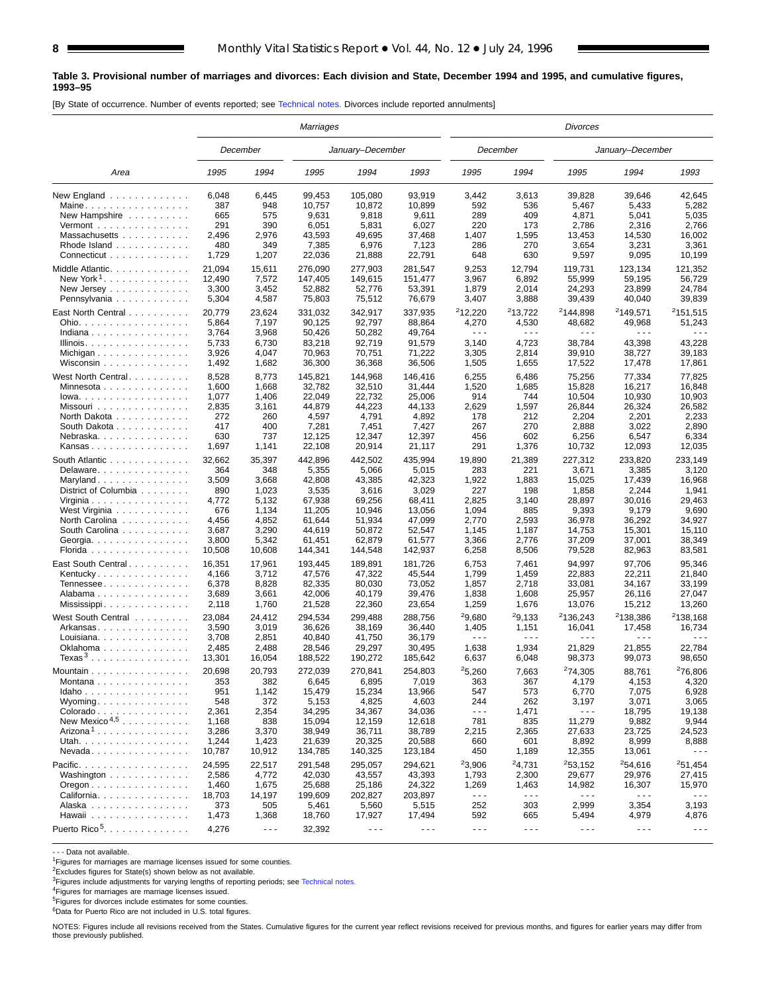#### **Table 3. Provisional number of marriages and divorces: Each division and State, December 1994 and 1995, and cumulative figures, 1993–95**

[By State of occurrence. Number of events reported; see [Technical notes.](#page-16-0) Divorces include reported annulments]

|                                                | Marriages<br>December<br>January-December |                      |         |                      |                      | Divorces             |                      |                      |                      |                      |
|------------------------------------------------|-------------------------------------------|----------------------|---------|----------------------|----------------------|----------------------|----------------------|----------------------|----------------------|----------------------|
|                                                |                                           |                      |         |                      |                      |                      | December             |                      | January-December     |                      |
| Area                                           | 1995                                      | 1994                 | 1995    | 1994                 | 1993                 | 1995                 | 1994                 | 1995                 | 1994                 | 1993                 |
| New England                                    | 6,048                                     | 6,445                | 99,453  | 105,080              | 93,919               | 3,442                | 3,613                | 39,828               | 39,646               | 42,645               |
| Maine                                          | 387                                       | 948                  | 10,757  | 10,872               | 10,899               | 592                  | 536                  | 5,467                | 5,433                | 5,282                |
| New Hampshire $\ldots$ ,                       | 665                                       | 575                  | 9,631   | 9,818                | 9,611                | 289                  | 409                  | 4,871                | 5,041                | 5,035                |
| Vermont $\dots\dots\dots\dots\dots\dots$       | 291                                       | 390                  | 6,051   | 5,831                | 6,027                | 220                  | 173                  | 2,786                | 2,316                | 2,766                |
| Massachusetts                                  | 2,496                                     | 2,976                | 43,593  | 49,695               | 37,468               | 1,407                | 1,595                | 13,453               | 14,530               | 16,002               |
| Rhode Island $\ldots$ ,                        | 480                                       | 349                  | 7,385   | 6,976                | 7,123                | 286                  | 270                  | 3,654                | 3,231                | 3,361                |
| Connecticut                                    | 1,729                                     | 1,207                | 22,036  | 21,888               | 22,791               | 648                  | 630                  | 9,597                | 9,095                | 10,199               |
| Middle Atlantic.                               | 21,094                                    | 15,611               | 276,090 | 277,903              | 281,547              | 9,253                | 12,794               | 119,731              | 123,134              | 121,352              |
| New York <sup>1</sup>                          | 12,490                                    | 7,572                | 147,405 | 149,615              | 151,477              | 3,967                | 6,892                | 55,999               | 59,195               | 56,729               |
| New Jersey $\dots$ , $\dots$ , $\dots$         | 3,300                                     | 3,452                | 52,882  | 52,776               | 53,391               | 1,879                | 2,014                | 24,293               | 23,899               | 24,784               |
| Pennsylvania                                   | 5,304                                     | 4,587                | 75,803  | 75,512               | 76,679               | 3,407                | 3,888                | 39,439               | 40,040               | 39,839               |
| East North Central                             | 20,779                                    | 23,624               | 331,032 | 342,917              | 337,935              | 212,220              | <sup>2</sup> 13,722  | <sup>2</sup> 144,898 | <sup>2</sup> 149,571 | <sup>2</sup> 151,515 |
| Ohio.                                          | 5,864                                     | 7,197                | 90,125  | 92,797               | 88,864               | 4,270                | 4,530                | 48,682               | 49,968               | 51,243               |
| Indiana                                        | 3,764                                     | 3,968                | 50,426  | 50,282               | 49,764               | $\sim$ $\sim$ $\sim$ | $\sim$ $\sim$ $\sim$ | $\sim$ $\sim$ $\sim$ | $\sim$ $\sim$ $\sim$ |                      |
| Illinois.                                      | 5,733                                     | 6,730                | 83,218  | 92,719               | 91,579               | 3,140                | 4,723                | 38,784               | 43,398               | 43,228               |
| Michigan                                       | 3,926                                     | 4,047                | 70,963  | 70,751               | 71,222               | 3,305                | 2,814                | 39,910               | 38,727               | 39,183               |
| Wisconsin                                      | 1,492                                     | 1,682                | 36,300  | 36,368               | 36,506               | 1,505                | 1,655                | 17,522               | 17,478               | 17,861               |
|                                                |                                           |                      |         |                      |                      |                      |                      |                      |                      |                      |
| West North Central                             | 8,528                                     | 8,773                | 145,821 | 144,968              | 146,416              | 6,255                | 6,486                | 75,256               | 77,334               | 77,825               |
|                                                | 1,600                                     | 1,668                | 32,782  | 32,510               | 31,444               | 1,520                | 1,685                | 15,828               | 16,217               | 16,848               |
| Iowa.                                          | 1,077                                     | 1,406                | 22,049  | 22,732               | 25,006               | 914                  | 744                  | 10,504               | 10,930               | 10,903               |
| Missouri                                       | 2,835                                     | 3,161                | 44,879  | 44,223               | 44,133               | 2,629                | 1,597                | 26,844               | 26,324               | 26,582               |
| North Dakota                                   | 272                                       | 260                  | 4,597   | 4,791                | 4,892                | 178                  | 212                  | 2,204                | 2,201                | 2,233                |
| South Dakota                                   | 417                                       | 400                  | 7,281   | 7,451                | 7,427                | 267                  | 270                  | 2,888                | 3,022                | 2,890                |
| Nebraska.                                      | 630<br>1,697                              | 737                  | 12,125  | 12,347<br>20,914     | 12,397               | 456<br>291           | 602<br>1,376         | 6,256                | 6,547                | 6,334<br>12,035      |
| Kansas                                         |                                           | 1,141                | 22,108  |                      | 21,117               |                      |                      | 10,732               | 12,093               |                      |
| South Atlantic                                 | 32,662                                    | 35,397               | 442,896 | 442,502              | 435,994              | 19,890               | 21,389               | 227,312              | 233,820              | 233,149              |
| Delaware                                       | 364                                       | 348                  | 5,355   | 5,066                | 5,015                | 283                  | 221                  | 3,671                | 3,385                | 3,120                |
| Maryland                                       | 3,509                                     | 3,668                | 42,808  | 43,385               | 42,323               | 1,922                | 1,883                | 15,025               | 17,439               | 16,968               |
| District of Columbia                           | 890                                       | 1,023                | 3,535   | 3,616                | 3,029                | 227                  | 198                  | 1,858                | 2,244                | 1,941                |
| Virginia                                       | 4,772                                     | 5,132                | 67,938  | 69,256               | 68,411               | 2,825                | 3,140                | 28,897               | 30,016               | 29,463               |
| West Virginia                                  | 676                                       | 1,134                | 11,205  | 10,946               | 13,056               | 1,094                | 885                  | 9,393                | 9,179                | 9,690                |
| North Carolina                                 | 4,456                                     | 4,852                | 61,644  | 51,934               | 47,099               | 2,770                | 2,593                | 36,978               | 36,292               | 34,927               |
| South Carolina                                 | 3,687                                     | 3,290                | 44,619  | 50,872               | 52,547               | 1,145                | 1,187                | 14,753               | 15,301               | 15,110               |
| Georgia.                                       | 3,800                                     | 5,342                | 61,451  | 62,879               | 61,577               | 3,366                | 2,776                | 37,209               | 37,001               | 38,349               |
| Florida                                        | 10,508                                    | 10,608               | 144,341 | 144,548              | 142,937              | 6,258                | 8,506                | 79,528               | 82,963               | 83,581               |
| East South Central                             | 16,351                                    | 17,961               | 193,445 | 189,891              | 181,726              | 6,753                | 7,461                | 94,997               | 97,706               | 95,346               |
| Kentucky                                       | 4,166                                     | 3,712                | 47,576  | 47,322               | 45,544               | 1,799                | 1,459                | 22,883               | 22,211               | 21,840               |
| Tennessee                                      | 6,378                                     | 8,828                | 82,335  | 80,030               | 73,052               | 1,857                | 2,718                | 33,081               | 34,167               | 33,199               |
| Alabama                                        | 3,689                                     | 3,661                | 42,006  | 40,179               | 39,476               | 1,838                | 1,608                | 25,957               | 26,116               | 27,047               |
| Mississippi                                    | 2,118                                     | 1,760                | 21,528  | 22,360               | 23,654               | 1,259                | 1,676                | 13,076               | 15,212               | 13,260               |
| West South Central                             | 23.084                                    | 24,412               | 294,534 | 299,488              | 288,756              | <sup>2</sup> 9,680   | 29,133               | <sup>2</sup> 136,243 | <sup>2</sup> 138,386 | <sup>2</sup> 138,168 |
| Arkansas                                       | 3,590                                     | 3,019                | 36,626  | 38,169               | 36,440               | 1,405                | 1,151                | 16,041               | 17,458               | 16,734               |
| Louisiana                                      | 3,708                                     | 2,851                | 40,840  | 41,750               | 36,179               | $\sim$ $\sim$ $\sim$ | $\sim$ $\sim$ $\sim$ | $\sim$ $\sim$ $\sim$ | $\sim$ $\sim$ $\sim$ |                      |
| Oklahoma                                       | 2,485                                     | 2,488                | 28,546  | 29,297               | 30,495               | 1,638                | 1,934                | 21,829               | 21,855               | 22,784               |
| Texas <sup>3</sup>                             | 13,301                                    | 16,054               | 188,522 | 190,272              | 185,642              | 6,637                | 6,048                | 98,373               | 99,073               | 98,650               |
| Mountain                                       | 20,698                                    | 20,793               | 272.039 | 270,841              | 254,803              | <sup>2</sup> 5,260   | 7,663                | <sup>2</sup> 74.305  | 88,761               | <sup>2</sup> 76,806  |
| Montana                                        | 353                                       | 382                  | 6,645   | 6,895                | 7,019                | 363                  | 367                  | 4,179                | 4,153                | 4,320                |
| Idaho                                          | 951                                       | 1,142                | 15,479  | 15,234               | 13,966               | 547                  | 573                  | 6,770                | 7,075                | 6,928                |
| Wyoming                                        | 548                                       | 372                  | 5,153   | 4,825                | 4,603                | 244                  | 262                  | 3,197                | 3,071                | 3,065                |
| Colorado                                       | 2,361                                     | 2,354                | 34,295  | 34,367               | 34,036               | $\sim$ $\sim$ $\sim$ | 1,471                | ---                  | 18,795               | 19,138               |
| New Mexico <sup>4,5</sup>                      | 1,168                                     | 838                  | 15,094  | 12,159               | 12,618               | 781                  | 835                  | 11,279               | 9,882                | 9,944                |
| Arizona <sup>1</sup>                           | 3,286                                     | 3,370                | 38,949  | 36,711               | 38,789               | 2,215                | 2,365                | 27,633               | 23,725               | 24,523               |
| Utah.                                          | 1,244                                     | 1,423                | 21,639  | 20,325               | 20,588               | 660                  | 601                  | 8,892                | 8,999                | 8,888                |
| $N$ evada                                      | 10,787                                    | 10,912               | 134,785 | 140,325              | 123,184              | 450                  | 1,189                | 12,355               | 13,061               |                      |
| Pacific.                                       | 24,595                                    | 22,517               | 291,548 | 295,057              | 294,621              | 23,906               | 24,731               | 253,152              | <sup>2</sup> 54,616  | 251,454              |
| Washington                                     | 2,586                                     | 4,772                | 42,030  | 43,557               | 43,393               | 1,793                | 2,300                | 29,677               | 29,976               | 27,415               |
| $O$ regon $\ldots \ldots \ldots \ldots \ldots$ | 1,460                                     | 1,675                | 25,688  | 25,186               | 24,322               | 1,269                | 1,463                | 14,982               | 16,307               | 15,970               |
| California                                     | 18,703                                    | 14,197               | 199,609 | 202,827              | 203,897              | $\sim$ $\sim$ $\sim$ | $\sim$ $\sim$ $\sim$ | $\sim$ $\sim$ $\sim$ | $\sim$ $\sim$ $\sim$ | $\sim$ $\sim$ $\sim$ |
| Alaska                                         | 373                                       | 505                  | 5,461   | 5,560                | 5,515                | 252                  | 303                  | 2,999                | 3,354                | 3,193                |
| Hawaii                                         | 1,473                                     | 1,368                | 18,760  | 17,927               | 17,494               | 592                  | 665                  | 5,494                | 4,979                | 4,876                |
|                                                |                                           |                      |         |                      |                      |                      |                      |                      |                      |                      |
| Puerto Rico <sup>5</sup> .                     | 4,276                                     | $\sim$ $\sim$ $\sim$ | 32,392  | $\sim$ $\sim$ $\sim$ | $\sim$ $\sim$ $\sim$ | $\sim$ $\sim$ $\sim$ | $\sim$ $\sim$ $\sim$ | $  -$                | $\sim$ $\sim$ $\sim$ | $\sim$ $\sim$ $\sim$ |

- - - Data not available.

2Excludes figures for State(s) shown below as not available.

<sup>3</sup>Figures include adjustments for varying lengths of reporting periods; see [Technical notes](#page-16-0).<br><sup>4</sup>Figures for marriages are marriage licenses issued.

5Figures for divorces include estimates for some counties.

6Data for Puerto Rico are not included in U.S. total figures.

NOTES: Figures include all revisions received from the States. Cumulative figures for the current year reflect revisions received for previous months, and figures for earlier years may differ from those previously published.

<sup>1</sup>Figures for marriages are marriage licenses issued for some counties.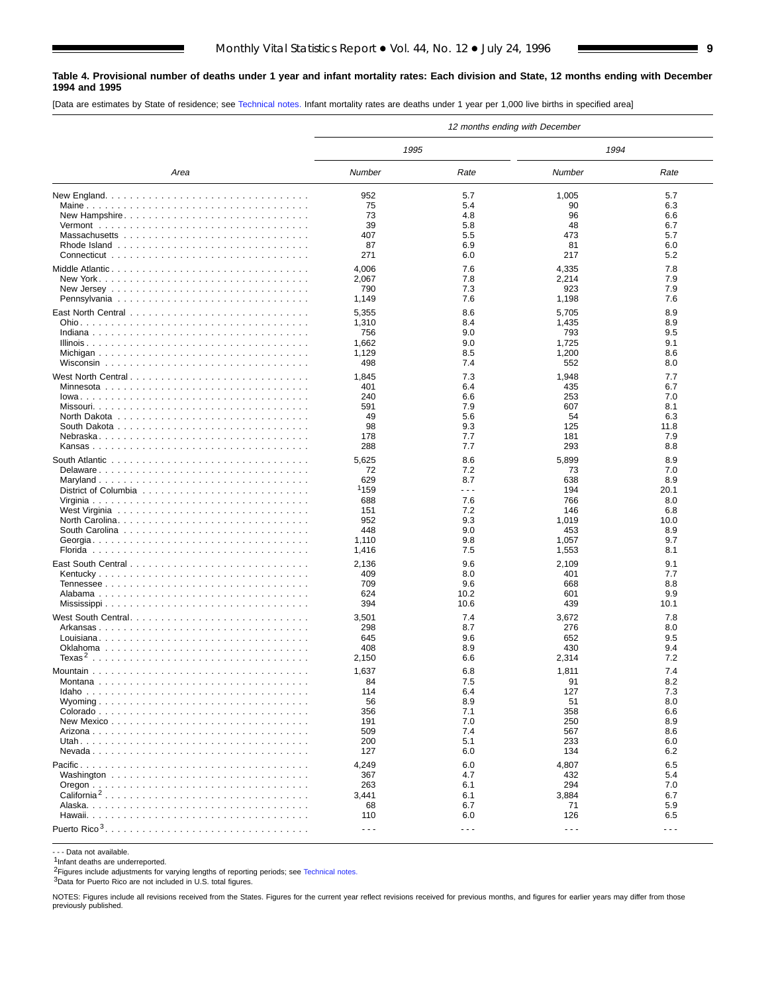#### <span id="page-8-0"></span>**Table 4. Provisional number of deaths under 1 year and infant mortality rates: Each division and State, 12 months ending with December 1994 and 1995**

[Data are estimates by State of residence; see [Technical notes.](#page-16-0) Infant mortality rates are deaths under 1 year per 1,000 live births in specified area]

|                         |                      |                      | 12 months ending with December |            |
|-------------------------|----------------------|----------------------|--------------------------------|------------|
|                         | 1995                 |                      | 1994                           |            |
| Area                    | Number               | Rate                 | Number                         | Rate       |
|                         | 952                  | 5.7                  | 1,005                          | 5.7        |
|                         | 75                   | 5.4                  | 90                             | 6.3        |
| New Hampshire           | 73                   | 4.8                  | 96                             | 6.6        |
|                         | 39                   | 5.8                  | 48                             | 6.7        |
|                         | 407                  | 5.5                  | 473                            | 5.7        |
|                         | 87                   | 6.9                  | 81                             | 6.0        |
|                         | 271                  | 6.0                  | 217                            | 5.2        |
| Middle Atlantic         | 4,006                | 7.6                  | 4,335                          | 7.8        |
|                         | 2,067                | 7.8                  | 2,214                          | 7.9        |
|                         | 790                  | 7.3                  | 923                            | 7.9        |
|                         | 1,149                | 7.6                  | 1,198                          | 7.6        |
|                         | 5,355                | 8.6                  | 5,705                          | 8.9        |
|                         | 1,310                | 8.4                  | 1,435                          | 8.9        |
|                         | 756                  | 9.0                  | 793                            | 9.5        |
|                         | 1,662                | 9.0                  | 1,725                          | 9.1        |
|                         | 1,129                | 8.5                  | 1,200                          | 8.6        |
|                         | 498                  | 7.4                  | 552                            | 8.0        |
| West North Central      | 1,845                | 7.3                  | 1,948                          | 7.7        |
|                         | 401                  | 6.4                  | 435                            | 6.7        |
|                         | 240                  | 6.6                  | 253                            | 7.0        |
|                         | 591                  | 7.9                  | 607                            | 8.1        |
|                         | 49                   | 5.6                  | 54                             | 6.3        |
|                         | 98                   | 9.3                  | 125                            | 11.8       |
|                         | 178                  | 7.7                  | 181                            | 7.9        |
|                         | 288                  | 7.7                  | 293                            | 8.8        |
|                         | 5,625                | 8.6                  | 5,899                          | 8.9        |
| Delaware                | 72                   | 7.2                  | 73                             | 7.0        |
|                         | 629                  | 8.7                  | 638                            | 8.9        |
|                         | <sup>1</sup> 159     | .                    | 194                            | 20.1       |
|                         | 688                  | 7.6                  | 766                            | 8.0        |
|                         | 151                  | 7.2                  | 146                            | 6.8        |
|                         | 952                  | 9.3                  | 1,019                          | 10.0       |
|                         | 448                  | 9.0                  | 453                            | 8.9        |
|                         | 1,110                | 9.8                  | 1,057                          | 9.7        |
|                         | 1,416                | 7.5                  | 1,553                          | 8.1        |
|                         | 2,136                | 9.6                  | 2,109                          | 9.1        |
|                         | 409                  | 8.0                  | 401                            | 7.7        |
|                         | 709                  | 9.6                  | 668                            | 8.8        |
|                         | 624                  | 10.2                 | 601                            | 9.9        |
|                         | 394                  | 10.6                 | 439                            | 10.1       |
| West South Central      | 3,501                | 7.4                  | 3,672                          | 7.8        |
|                         | 298                  | 8.7                  | 276                            | 8.0        |
|                         | 645                  | 9.6                  | 652                            | 9.5        |
|                         | 408                  | 8.9                  | 430                            | 9.4        |
|                         | 2,150                | 6.6                  | 2,314                          | 7.2        |
|                         | 1,637                | 6.8                  | 1,811                          | 7.4        |
|                         | 84                   | 7.5                  | 91                             | 8.2        |
|                         | 114                  | 6.4                  | 127                            | 7.3        |
|                         | 56                   | 8.9                  | 51                             | 8.0        |
|                         | 356                  | 7.1                  | 358                            | 6.6        |
|                         | 191                  | 7.0                  | 250                            | 8.9        |
|                         | 509                  | 7.4                  | 567                            | 8.6        |
|                         | 200                  | 5.1                  | 233                            | 6.0        |
|                         | 127                  | 6.0                  | 134                            | 6.2        |
|                         | 4,249                | 6.0                  | 4,807                          | 6.5        |
|                         | 367                  | 4.7                  | 432                            | 5.4        |
|                         | 263                  | 6.1                  | 294                            | 7.0        |
| California <sup>2</sup> | 3,441                | 6.1                  | 3,884                          | 6.7        |
|                         | 68<br>110            | 6.7<br>6.0           | 71<br>126                      | 5.9<br>6.5 |
|                         |                      |                      |                                |            |
|                         | $\sim$ $\sim$ $\sim$ | $\sim$ $\sim$ $\sim$ | $\sim$ $\sim$ $\sim$           | $- - -$    |

- - - Data not available.

 $1$ Infant deaths are underreported.

2Figures include adjustments for varying lengths of reporting periods; see [Technical notes](#page-16-0).

3Data for Puerto Rico are not included in U.S. total figures.

NOTES: Figures include all revisions received from the States. Figures for the current year reflect revisions received for previous months, and figures for earlier years may differ from those previously published.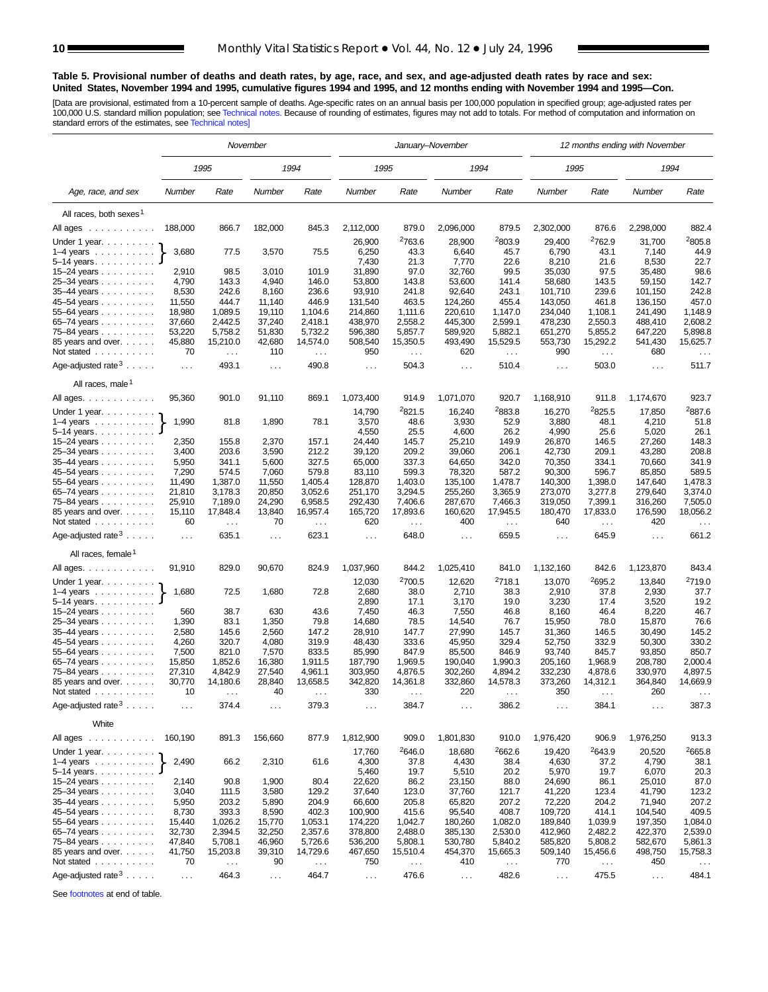#### <span id="page-9-0"></span>**Table 5. Provisional number of deaths and death rates, by age, race, and sex, and age-adjusted death rates by race and sex: United States, November 1994 and 1995, cumulative figures 1994 and 1995, and 12 months ending with November 1994 and 1995—Con.**

[Data are provisional, estimated from a 10-percent sample of deaths. Age-specific rates on an annual basis per 100,000 population in specified group; age-adjusted rates per<br>100,000 U.S. standard million population; see Tec

|                                                                       |               |               | November      |                     | January-November<br>1995      |                    |                      |                    | 12 months ending with November |                            |                 |                    |
|-----------------------------------------------------------------------|---------------|---------------|---------------|---------------------|-------------------------------|--------------------|----------------------|--------------------|--------------------------------|----------------------------|-----------------|--------------------|
|                                                                       |               | 1995          |               | 1994                |                               |                    | 1994                 |                    | 1995                           |                            | 1994            |                    |
| Age, race, and sex                                                    | Number        | Rate          | Number        | Rate                | Number                        | Rate               | Number               | Rate               | Number                         | Rate                       | Number          | Rate               |
| All races, both sexes <sup>1</sup>                                    |               |               |               |                     |                               |                    |                      |                    |                                |                            |                 |                    |
| All ages<br>$\mathcal{A}$ , and a set of the set of the $\mathcal{A}$ | 188,000       | 866.7         | 182,000       | 845.3               | 2,112,000                     | 879.0              | 2,096,000            | 879.5              | 2,302,000                      | 876.6                      | 2,298,000       | 882.4              |
|                                                                       |               |               |               |                     |                               | 2763.6             |                      |                    |                                |                            |                 | 2805.8             |
| Under 1 year. $\ldots$                                                | 3,680         |               |               |                     | 26,900                        |                    | 28,900               | 2803.9             | 29,400                         | <sup>2</sup> 762.9<br>43.1 | 31,700          |                    |
| $1-4$ years $\ldots$ $\ldots$ $\ldots$                                |               | 77.5          | 3,570         | 75.5                | 6,250<br>7,430                | 43.3<br>21.3       | 6,640<br>7,770       | 45.7<br>22.6       | 6,790<br>8,210                 | 21.6                       | 7,140<br>8,530  | 44.9<br>22.7       |
| $5 - 14$ years.<br>15-24 years                                        | 2,910         | 98.5          | 3,010         | 101.9               | 31,890                        | 97.0               | 32,760               | 99.5               | 35,030                         | 97.5                       | 35,480          | 98.6               |
| 25-34 years                                                           | 4,790         | 143.3         | 4,940         | 146.0               | 53,800                        | 143.8              | 53,600               | 141.4              | 58,680                         | 143.5                      | 59,150          | 142.7              |
| 35-44 years                                                           | 8,530         | 242.6         | 8,160         | 236.6               | 93,910                        | 241.8              | 92,640               | 243.1              | 101,710                        | 239.6                      | 101,150         | 242.8              |
| 45-54 years                                                           | 11,550        | 444.7         | 11,140        | 446.9               | 131,540                       | 463.5              | 124,260              | 455.4              | 143,050                        | 461.8                      | 136,150         | 457.0              |
| 55-64 years                                                           | 18,980        | 1,089.5       | 19,110        | 1,104.6             | 214,860                       | 1,111.6            | 220,610              | 1,147.0            | 234,040                        | 1,108.1                    | 241,490         | 1,148.9            |
| 65–74 years                                                           | 37,660        | 2,442.5       | 37,240        | 2,418.1             | 438,970                       | 2,558.2            | 445,300              | 2,599.1            | 478,230                        | 2,550.3                    | 488,410         | 2,608.2            |
| 75–84 years                                                           | 53,220        | 5,758.2       | 51,830        | 5,732.2             | 596,380                       | 5,857.7            | 589,920              | 5,882.1            | 651,270                        | 5,855.2                    | 647,220         | 5,898.8            |
| 85 years and over.                                                    | 45,880        | 15,210.0      | 42,680        | 14,574.0            | 508,540                       | 15,350.5           | 493,490              | 15,529.5           | 553,730                        | 15,292.2                   | 541,430         | 15,625.7           |
| Not stated                                                            | 70            | $\ldots$      | 110           | $\sim$ $\sim$       | 950                           | .                  | 620                  | $\sim$             | 990                            | $\sim 100$                 | 680             | $\ldots$           |
|                                                                       |               |               |               |                     |                               |                    |                      |                    |                                |                            |                 |                    |
| Age-adjusted rate $3 \ldots$ .<br>All races, male <sup>1</sup>        | $\sim 100$    | 493.1         | $\sim$ $\sim$ | 490.8               | $\sim$ $\sim$ $\sim$          | 504.3              | $\sim$ .             | 510.4              | $\sim$ $\sim$                  | 503.0                      | $\sim$ $\sim$   | 511.7              |
|                                                                       | 95,360        | 901.0         | 91,110        | 869.1               | 1,073,400                     | 914.9              | 1,071,070            | 920.7              | 1,168,910                      | 911.8                      | 1,174,670       | 923.7              |
| All ages.                                                             |               |               |               |                     | 14,790                        | 2821.5             | 16,240               | 2883.8             | 16,270                         | 2825.5                     |                 | 2887.6             |
| Under 1 year.                                                         | 1,990         |               |               |                     |                               | 48.6               |                      |                    |                                | 48.1                       | 17,850          |                    |
| $1-4$ years                                                           |               | 81.8          | 1,890         | 78.1                | 3,570<br>4,550                | 25.5               | 3,930                | 52.9               | 3,880<br>4,990                 |                            | 4,210           | 51.8<br>26.1       |
| $5-14$ years. $\ldots$<br>15-24 years                                 | 2,350         | 155.8         | 2,370         | 157.1               | 24,440                        | 145.7              | 4,600<br>25,210      | 26.2<br>149.9      | 26,870                         | 25.6<br>146.5              | 5,020<br>27,260 | 148.3              |
| 25-34 years                                                           | 3,400         | 203.6         | 3,590         | 212.2               | 39,120                        | 209.2              | 39,060               | 206.1              | 42,730                         | 209.1                      | 43,280          | 208.8              |
| $35-44$ years $\ldots$                                                | 5,950         | 341.1         | 5,600         | 327.5               | 65,000                        | 337.3              | 64,650               | 342.0              | 70,350                         | 334.1                      | 70,660          | 341.9              |
| 45–54 years                                                           | 7,290         | 574.5         | 7,060         | 579.8               | 83,110                        | 599.3              | 78,320               | 587.2              | 90,300                         | 596.7                      | 85,850          | 589.5              |
| 55-64 years                                                           | 11,490        | 1,387.0       | 11,550        | 1,405.4             | 128,870                       | 1,403.0            | 135,100              | 1,478.7            | 140,300                        | 1,398.0                    | 147,640         | 1,478.3            |
| 65-74 years                                                           | 21,810        | 3,178.3       | 20,850        | 3,052.6             | 251,170                       | 3,294.5            | 255,260              | 3,365.9            | 273,070                        | 3,277.8                    | 279,640         | 3,374.0            |
| 75-84 years                                                           | 25,910        | 7,189.0       | 24,290        | 6,958.5             | 292,430                       | 7,406.6            | 287,670              | 7,466.3            | 319,050                        | 7,399.1                    | 316,260         | 7,505.0            |
| 85 years and over.                                                    | 15,110        | 17,848.4      | 13,840        | 16,957.4            | 165,720                       | 17,893.6           | 160,620              | 17,945.5           | 180,470                        | 17,833.0                   | 176,590         | 18,056.2           |
| Not stated                                                            | 60            | $\sim$ $\sim$ | 70            | $\ldots$            | 620                           | $\sim$ .           | 400                  | $\sim$ .           | 640                            | $\sim$ $\sim$              | 420             | $\sim$ $\sim$      |
| Age-adjusted rate $3 \ldots$ .                                        | $\ldots$      | 635.1         | $\sim$ $\sim$ | 623.1               | $\sim 100$                    | 648.0              | $\sim$ .             | 659.5              | $\sim$ $\sim$                  | 645.9                      | $\cdots$        | 661.2              |
| All races, female <sup>1</sup>                                        |               |               |               |                     |                               |                    |                      |                    |                                |                            |                 |                    |
| All ages.                                                             | 91,910        | 829.0         | 90,670        | 824.9               | 1,037,960                     | 844.2              | 1,025,410            | 841.0              | 1,132,160                      | 842.6                      | 1,123,870       | 843.4              |
| Under 1 year.                                                         |               |               |               |                     | 12,030                        | <sup>2</sup> 700.5 | 12,620               | <sup>2</sup> 718.1 | 13,070                         | 2695.2                     | 13,840          | <sup>2</sup> 719.0 |
| $1-4$ years $\ldots$ $\ldots$ $\ldots$ .                              | 1,680         | 72.5          | 1,680         | 72.8                | 2,680                         | 38.0               | 2,710                | 38.3               | 2,910                          | 37.8                       | 2,930           | 37.7               |
| $5-14$ years. $\ldots$                                                |               |               |               |                     | 2,890                         | 17.1               | 3,170                | 19.0               | 3,230                          | 17.4                       | 3,520           | 19.2               |
| 15–24 years $\ldots$                                                  | 560           | 38.7          | 630           | 43.6                | 7,450                         | 46.3               | 7,550                | 46.8               | 8,160                          | 46.4                       | 8,220           | 46.7               |
| 25-34 years                                                           | 1,390         | 83.1          | 1,350         | 79.8                | 14,680                        | 78.5               | 14,540               | 76.7               | 15,950                         | 78.0                       | 15,870          | 76.6               |
| 35-44 years                                                           | 2,580         | 145.6         | 2,560         | 147.2               | 28,910                        | 147.7              | 27,990               | 145.7              | 31,360                         | 146.5                      | 30,490          | 145.2              |
| 45-54 years                                                           | 4,260         | 320.7         | 4,080         | 319.9               | 48,430                        | 333.6              | 45,950               | 329.4              | 52,750                         | 332.9                      | 50,300          | 330.2              |
| 55-64 years                                                           | 7,500         | 821.0         | 7,570         | 833.5               | 85,990                        | 847.9              | 85,500               | 846.9              | 93,740                         | 845.7                      | 93,850          | 850.7              |
| 65-74 years                                                           | 15,850        | 1,852.6       | 16,380        | 1,911.5             | 187,790                       | 1,969.5            | 190,040              | 1,990.3            | 205,160                        | 1,968.9                    | 208,780         | 2,000.4            |
| 75–84 years                                                           | 27,310        | 4,842.9       | 27,540        | 4,961.1<br>13,658.5 | 303,950                       | 4,876.5            | 302,260              | 4,894.2            | 332,230<br>373,260             | 4,878.6<br>14,312.1        | 330,970         | 4,897.5            |
| 85 years and over.<br>Not stated                                      | 30,770<br>10  | 14,180.6      | 28,840<br>40  |                     | 342,820<br>330                | 14,361.8           | 332,860<br>220       | 14,578.3           | 350                            |                            | 364,840<br>260  | 14,669.9           |
| .<br>Age-adjusted rate $3 \ldots$ .                                   | $\sim$ $\sim$ | 374.4         | $\sim$ $\sim$ | 379.3               | $\sim$                        | 384.7              | $\sim$ $\sim$ $\sim$ | 386.2              | $\sim$ $\sim$                  | 384.1                      | $\sim$ $\sim$   | 387.3              |
| White                                                                 |               |               |               |                     |                               |                    |                      |                    |                                |                            |                 |                    |
| All ages                                                              | 160,190       | 891.3         | 156,660       | 877.9               | 1,812,900                     | 909.0              | 1,801,830            | 910.0              | 1,976,420                      | 906.9                      | 1,976,250       | 913.3              |
| Under 1 year. $\ldots$                                                |               |               |               |                     | 17,760                        | 2646.0             | 18,680               | 2662.6             | 19,420                         | 2643.9                     | 20,520          | 2665.8             |
| $1-4$ years                                                           | 2,490         | 66.2          | 2,310         | 61.6                | 4,300                         | 37.8               | 4,430                | 38.4               | 4,630                          | 37.2                       | 4,790           | 38.1               |
| $5 - 14$ years.                                                       |               |               |               |                     | 5,460                         | 19.7               |                      | 20.2               | 5,970                          | 19.7                       | 6,070           | 20.3               |
| 15–24 years                                                           | 2,140         | 90.8          | 1,900         | 80.4                | 22,620                        | 86.2               | 5,510<br>23,150      | 88.0               | 24,690                         | 86.1                       | 25,010          | 87.0               |
| 25-34 years                                                           | 3,040         | 111.5         | 3,580         | 129.2               | 37,640                        | 123.0              | 37,760               | 121.7              | 41,220                         | 123.4                      | 41,790          | 123.2              |
| 35-44 years                                                           | 5,950         | 203.2         | 5,890         | 204.9               | 66,600                        | 205.8              | 65,820               | 207.2              | 72,220                         | 204.2                      | 71,940          | 207.2              |
| 45-54 years                                                           | 8,730         | 393.3         | 8,590         | 402.3               | 100,900                       | 415.6              | 95,540               | 408.7              | 109,720                        | 414.1                      | 104,540         | 409.5              |
| 55-64 years                                                           | 15,440        | 1,026.2       | 15,770        | 1,053.1             | 174,220                       | 1,042.7            | 180,260              | 1,082.0            | 189,840                        | 1,039.9                    | 197,350         | 1,084.0            |
| 65-74 years                                                           | 32,730        | 2,394.5       | 32,250        | 2,357.6             | 378,800                       | 2,488.0            | 385,130              | 2,530.0            | 412,960                        | 2,482.2                    | 422,370         | 2,539.0            |
| 75-84 years                                                           | 47,840        | 5,708.1       | 46,960        | 5,726.6             | 536,200                       | 5,808.1            | 530,780              | 5,840.2            | 585,820                        | 5,808.2                    | 582,670         | 5,861.3            |
| 85 years and over.                                                    | 41,750        | 15,203.8      | 39,310        | 14,729.6            | 467,650                       | 15,510.4           | 454,370              | 15,665.3           | 509,140                        | 15,456.6                   | 498,750         | 15,758.3           |
| Not stated                                                            | 70            | $\sim$ $\sim$ | 90            | $\sim$ .            | 750                           | $\ldots$           | 410                  | $\sim$ .           | 770                            | $\sim$ $\sim$              | 450             | $\sim$ $\sim$      |
|                                                                       |               |               |               |                     |                               |                    |                      |                    |                                |                            |                 |                    |
| Age-adjusted rate $3 \ldots$ .                                        | $\sim$ $\sim$ | 464.3         | $\sim$ $\sim$ | 464.7               | $\epsilon \rightarrow \infty$ | 476.6              | $\ldots$             | 482.6              | $\sim$ $\sim$                  | 475.5                      | $\sim$ $\sim$   | 484.1              |

See footnotes at end of table.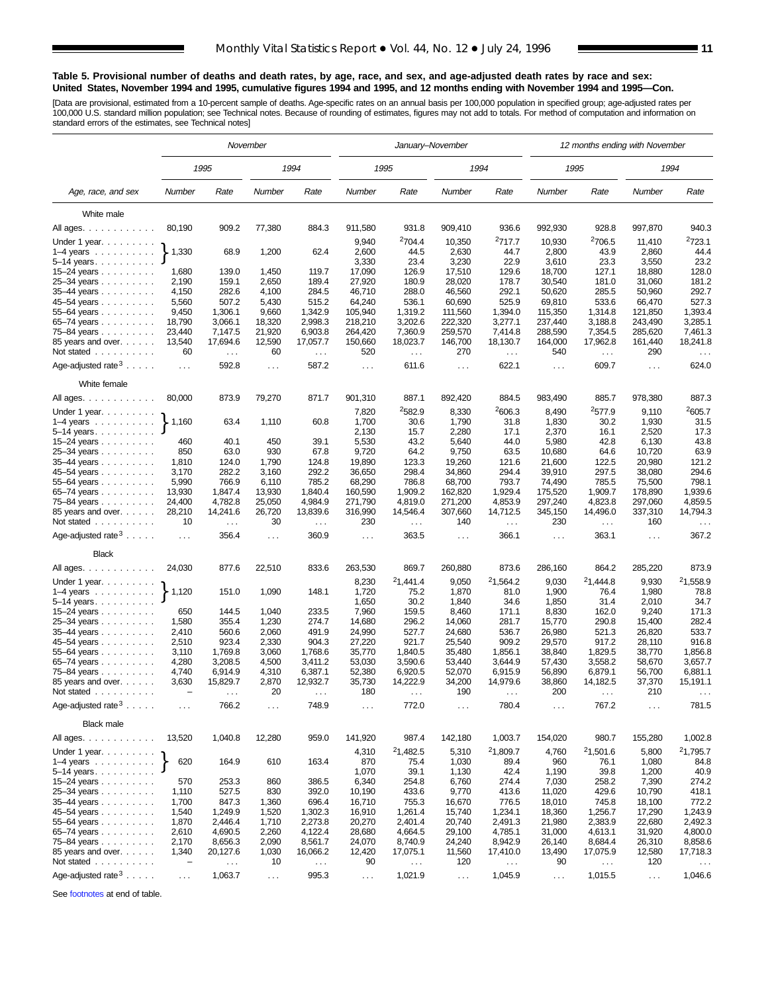#### **Table 5. Provisional number of deaths and death rates, by age, race, and sex, and age-adjusted death rates by race and sex: United States, November 1994 and 1995, cumulative figures 1994 and 1995, and 12 months ending with November 1994 and 1995—Con.**

[Data are provisional, estimated from a 10-percent sample of deaths. Age-specific rates on an annual basis per 100,000 population in specified group; age-adjusted rates per<br>100,000 U.S. standard million population; see Tec

|                                                                                                                             |                                      |                           | November                   |                      | January-November<br>1995 |                           |                  |                      |                  |                      | 12 months ending with November |                      |
|-----------------------------------------------------------------------------------------------------------------------------|--------------------------------------|---------------------------|----------------------------|----------------------|--------------------------|---------------------------|------------------|----------------------|------------------|----------------------|--------------------------------|----------------------|
|                                                                                                                             |                                      | 1995                      |                            | 1994                 |                          |                           |                  | 1994                 |                  | 1995                 |                                | 1994                 |
| Age, race, and sex                                                                                                          | Number                               | Rate                      | Number                     | Rate                 | Number                   | Rate                      | Number           | Rate                 | Number           | Rate                 | Number                         | Rate                 |
| White male                                                                                                                  |                                      |                           |                            |                      |                          |                           |                  |                      |                  |                      |                                |                      |
| All ages.                                                                                                                   | 80,190                               | 909.2                     | 77,380                     | 884.3                | 911,580                  | 931.8                     | 909,410          | 936.6                | 992,930          | 928.8                | 997,870                        | 940.3                |
|                                                                                                                             |                                      |                           |                            |                      | 9,940                    | <sup>2</sup> 704.4        | 10,350           | <sup>2</sup> 717.7   | 10,930           | <sup>2</sup> 706.5   | 11,410                         | 2723.1               |
| Under 1 year.<br>$1-4$ years $\ldots$ $\ldots$ $\ldots$ .                                                                   | 1,330                                | 68.9                      | 1,200                      | 62.4                 | 2,600                    | 44.5                      | 2,630            | 44.7                 | 2,800            | 43.9                 | 2,860                          | 44.4                 |
| 5-14 years.                                                                                                                 |                                      |                           |                            |                      | 3,330                    | 23.4                      | 3,230            | 22.9                 | 3,610            | 23.3                 | 3,550                          | 23.2                 |
| $15 - 24$ years                                                                                                             | 1,680                                | 139.0                     | 1,450                      | 119.7                | 17,090                   | 126.9                     | 17,510           | 129.6                | 18,700           | 127.1                | 18,880                         | 128.0                |
| 25-34 years                                                                                                                 | 2,190                                | 159.1                     | 2,650                      | 189.4                | 27,920                   | 180.9                     | 28,020           | 178.7                | 30,540           | 181.0                | 31,060                         | 181.2                |
| 35-44 years                                                                                                                 | 4,150                                | 282.6                     | 4,100                      | 284.5                | 46,710                   | 288.0                     | 46,560           | 292.1                | 50,620           | 285.5                | 50,960                         | 292.7                |
| 45-54 years                                                                                                                 | 5,560                                | 507.2                     | 5,430                      | 515.2                | 64,240                   | 536.1                     | 60,690           | 525.9                | 69,810           | 533.6                | 66,470                         | 527.3                |
| 55-64 years                                                                                                                 | 9,450                                | 1.306.1                   | 9,660                      | 1,342.9              | 105,940                  | 1,319.2                   | 111,560          | 1,394.0              | 115,350          | 1,314.8              | 121,850                        | 1,393.4              |
| 65-74 years                                                                                                                 | 18,790                               | 3,066.1                   | 18,320                     | 2,998.3              | 218,210                  | 3,202.6                   | 222,320          | 3,277.1              | 237,440          | 3,188.8              | 243,490                        | 3,285.1              |
| 75-84 years                                                                                                                 | 23,440                               | 7,147.5                   | 21,920                     | 6,903.8              | 264,420                  | 7,360.9                   | 259,570          | 7,414.8              | 288,590          | 7,354.5              | 285,620                        | 7,461.3              |
| 85 years and over.                                                                                                          | 13,540                               | 17,694.6                  | 12,590                     | 17,057.7             | 150,660                  | 18,023.7                  | 146,700          | 18,130.7             | 164,000          | 17,962.8             | 161,440                        | 18,241.8             |
| Not stated                                                                                                                  | 60                                   | $\sim$ $\sim$             | 60                         | $\sim$ $\sim$        | 520                      | $\sim$ $\sim$             | 270              | $\sim$               | 540              | $\sim$               | 290                            | $\cdots$             |
| Age-adjusted rate $3 \ldots$ .                                                                                              | $\ldots$ .                           | 592.8                     | $\sim$ $\sim$ $\sim$       | 587.2                | $\cdots$                 | 611.6                     | $\sim$ .         | 622.1                | $\sim$ $\sim$    | 609.7                | $\sim$ $\sim$ $\sim$           | 624.0                |
| White female                                                                                                                |                                      |                           |                            |                      |                          |                           |                  |                      |                  |                      |                                |                      |
| All ages.                                                                                                                   | 80,000                               | 873.9                     | 79,270                     | 871.7                | 901,310                  | 887.1                     | 892,420          | 884.5                | 983,490          | 885.7                | 978,380                        | 887.3                |
| Under 1 year.                                                                                                               |                                      |                           |                            |                      | 7,820                    | <sup>2</sup> 582.9        | 8,330            | 2606.3               | 8,490            | 2577.9               | 9,110                          | 2605.7               |
| $1-4$ years $\ldots \ldots \ldots$                                                                                          | 1,160                                | 63.4                      | 1,110                      | 60.8                 | 1,700                    | 30.6                      | 1,790            | 31.8                 | 1,830            | 30.2                 | 1,930                          | 31.5                 |
| $5 - 14$ years                                                                                                              |                                      |                           |                            |                      | 2,130                    | 15.7                      | 2,280            | 17.1                 | 2,370            | 16.1                 | 2,520                          | 17.3                 |
| 15-24 years                                                                                                                 | 460                                  | 40.1                      | 450                        | 39.1                 | 5,530                    | 43.2                      | 5,640            | 44.0                 | 5,980            | 42.8                 | 6,130                          | 43.8                 |
| 25-34 years                                                                                                                 | 850                                  | 63.0                      | 930<br>1,790               | 67.8                 | 9,720                    | 64.2                      | 9,750            | 63.5                 | 10,680           | 64.6                 | 10,720                         | 63.9                 |
| 35-44 years                                                                                                                 | 1,810<br>3,170                       | 124.0<br>282.2            | 3,160                      | 124.8<br>292.2       | 19,890<br>36,650         | 123.3<br>298.4            | 19,260<br>34,860 | 121.6<br>294.4       | 21,600<br>39,910 | 122.5<br>297.5       | 20,980<br>38,080               | 121.2<br>294.6       |
| 45-54 years<br>55-64 years                                                                                                  | 5,990                                | 766.9                     | 6,110                      | 785.2                | 68,290                   | 786.8                     | 68,700           | 793.7                | 74,490           | 785.5                | 75,500                         | 798.1                |
| 65-74 years                                                                                                                 | 13,930                               | 1,847.4                   | 13,930                     | 1,840.4              | 160,590                  | 1,909.2                   | 162,820          | 1,929.4              | 175,520          | 1,909.7              | 178,890                        | 1,939.6              |
| 75-84 years                                                                                                                 | 24,400                               | 4,782.8                   | 25,050                     | 4,984.9              | 271,790                  | 4,819.0                   | 271,200          | 4,853.9              | 297,240          | 4,823.8              | 297,060                        | 4,859.5              |
| 85 years and over.<br>Not stated $\ldots$                                                                                   | 28,210<br>10                         | 14,241.6<br>$\sim$ $\sim$ | 26,720<br>30               | 13,839.6<br>$\sim$ . | 316,990<br>230           | 14,546.4<br>$\sim$ $\sim$ | 307,660<br>140   | 14,712.5<br>$\sim$ . | 345,150<br>230   | 14,496.0<br>$\ldots$ | 337,310<br>160                 | 14,794.3<br>$\cdots$ |
| Age-adjusted rate $3 \ldots$ .                                                                                              | $\mathbf{1}$                         | 356.4                     | $\sim 100$                 | 360.9                | $\sim$ $\sim$            | 363.5                     | $\sim 100$       | 366.1                | $\ldots$         | 363.1                | $\sim$ $\sim$                  | 367.2                |
| <b>Black</b>                                                                                                                |                                      |                           |                            |                      |                          |                           |                  |                      |                  |                      |                                |                      |
| All ages.                                                                                                                   | 24,030                               | 877.6                     | 22,510                     | 833.6                | 263,530                  | 869.7                     | 260,880          | 873.6                | 286,160          | 864.2                | 285,220                        | 873.9                |
| Under 1 year. $\ldots$                                                                                                      |                                      |                           |                            |                      | 8,230                    | 21,441.4                  | 9,050            | 21,564.2             | 9,030            | 21,444.8             | 9,930                          | 21,558.9             |
| $1-4$ years<br>$5-14$ years.                                                                                                | 1,120                                | 151.0                     | 1,090                      | 148.1                | 1,720<br>1,650           | 75.2<br>30.2              | 1,870<br>1,840   | 81.0<br>34.6         | 1,900<br>1,850   | 76.4<br>31.4         | 1,980<br>2,010                 | 78.8<br>34.7         |
| $15 - 24$ years                                                                                                             | 650                                  | 144.5                     | 1,040                      | 233.5                | 7,960                    | 159.5                     | 8,460            | 171.1                | 8,830            | 162.0                | 9,240                          | 171.3                |
| 25-34 years                                                                                                                 | 1,580                                | 355.4                     | 1,230                      | 274.7                | 14,680                   | 296.2                     | 14,060           | 281.7                | 15,770           | 290.8                | 15,400                         | 282.4                |
| 35-44 years                                                                                                                 | 2,410                                | 560.6                     | 2,060                      | 491.9                | 24,990                   | 527.7                     | 24,680           | 536.7                | 26,980           | 521.3                | 26,820                         | 533.7                |
| 45-54 years                                                                                                                 | 2,510                                | 923.4                     | 2,330                      | 904.3                | 27,220                   | 921.7                     | 25,540           | 909.2                | 29,570           | 917.2                | 28,110                         | 916.8                |
| 55-64 years                                                                                                                 | 3,110                                | 1,769.8                   | 3,060                      | 1,768.6              | 35,770                   | 1,840.5                   | 35,480           | 1,856.1              | 38,840           | 1,829.5              | 38,770                         | 1,856.8              |
| 65-74 years                                                                                                                 | 4,280                                | 3,208.5                   | 4,500                      | 3,411.2              | 53,030                   | 3,590.6                   | 53,440           | 3,644.9              | 57,430           | 3,558.2              | 58,670                         | 3,657.7              |
| 75-84 years                                                                                                                 | 4,740                                | 6,914.9                   | 4,310                      | 6,387.1              | 52,380                   | 6,920.5                   | 52,070           | 6,915.9              | 56,890           | 6,879.1              | 56,700                         | 6,881.1              |
| 85 years and over.                                                                                                          | 3,630                                | 15,829.7                  | 2,870                      | 12,932.7             | 35,730                   | 14,222.9                  | 34,200           | 14,979.6             | 38,860           | 14,182.5             | 37,370                         | 15,191.1             |
| Not stated.<br>$\alpha$ , $\alpha$ , $\alpha$ , $\alpha$ , $\alpha$ , $\alpha$ , $\alpha$<br>Age-adjusted rate $3 \ldots$ . | $\overline{\phantom{a}}$<br>$\cdots$ | 766.2                     | 20<br>$\sim$ $\sim$ $\sim$ | 748.9                | 180<br>$\cdots$          | .<br>772.0                | 190<br>$\cdots$  | 780.4                | 200<br>$\cdots$  | 767.2                | 210<br>$\cdots$                | 781.5                |
| <b>Black male</b>                                                                                                           |                                      |                           |                            |                      |                          |                           |                  |                      |                  |                      |                                |                      |
| All ages.                                                                                                                   | 13,520                               | 1,040.8                   | 12,280                     | 959.0                | 141,920                  | 987.4                     | 142,180          | 1,003.7              | 154,020          | 980.7                | 155,280                        | 1,002.8              |
| Under 1 year.                                                                                                               |                                      |                           |                            |                      | 4,310                    | 21,482.5                  | 5,310            | <sup>2</sup> 1,809.7 | 4,760            | <sup>2</sup> 1,501.6 | 5,800                          | <sup>2</sup> 1,795.7 |
| 1–4 years $\ldots$ $\}$                                                                                                     | 620                                  | 164.9                     | 610                        | 163.4                | 870                      | 75.4                      | 1,030            | 89.4                 | 960              | 76.1                 | 1,080                          | 84.8                 |
| $5 - 14$ years                                                                                                              |                                      |                           |                            |                      | 1,070                    | 39.1                      | 1,130            | 42.4                 | 1,190            | 39.8                 | 1,200                          | 40.9                 |
| 15-24 years                                                                                                                 | 570                                  | 253.3                     | 860                        | 386.5                | 6,340                    | 254.8                     | 6,760            | 274.4                | 7,030            | 258.2                | 7,390                          | 274.2                |
| 25-34 years                                                                                                                 | 1,110                                | 527.5                     | 830                        | 392.0                | 10,190                   | 433.6                     | 9,770            | 413.6                | 11,020           | 429.6                | 10,790                         | 418.1                |
| 35-44 years<br>45-54 years                                                                                                  | 1,700<br>1,540                       | 847.3<br>1,249.9          | 1,360<br>1,520             | 696.4<br>1,302.3     | 16,710<br>16,910         | 755.3<br>1,261.4          | 16,670<br>15,740 | 776.5<br>1,234.1     | 18,010<br>18,360 | 745.8<br>1,256.7     | 18,100<br>17,290               | 772.2<br>1,243.9     |
| 55-64 years                                                                                                                 | 1,870                                | 2,446.4                   | 1,710                      | 2,273.8              | 20,270                   | 2,401.4                   | 20,740           | 2,491.3              | 21,980           | 2,383.9              | 22,680                         | 2,492.3              |
| 65-74 years                                                                                                                 | 2,610                                | 4,690.5                   | 2,260                      | 4,122.4              | 28,680                   | 4,664.5                   | 29,100           | 4,785.1              | 31,000           | 4,613.1              | 31,920                         | 4,800.0              |
| 75-84 years                                                                                                                 | 2,170                                | 8,656.3                   | 2,090                      | 8,561.7              | 24,070                   | 8,740.9                   | 24,240           | 8,942.9              | 26,140           | 8,684.4              | 26,310                         | 8,858.6              |
| 85 years and over.                                                                                                          | 1,340                                | 20,127.6                  | 1,030                      | 16,066.2             | 12,420                   | 17,075.1                  | 11,560           | 17,410.0             | 13,490           | 17,075.9             | 12,580                         | 17,718.3             |
| Not stated                                                                                                                  | $\overline{\phantom{m}}$             | $\ldots$                  | 10                         | $\ldots$             | 90                       | $\sim$                    | 120              | $\sim$ $\sim$        | 90               | $\sim$ $\sim$        | 120                            |                      |
| Age-adjusted rate $3 \ldots$ .                                                                                              | $\ldots$                             | 1,063.7                   | $\sim$ $\sim$              | 995.3                | $\sim$ $\sim$            | 1,021.9                   | $\sim$ $\sim$    | 1,045.9              | $\sim$           | 1,015.5              | $\sim$ $\sim$                  | 1,046.6              |

See footnotes at end of table.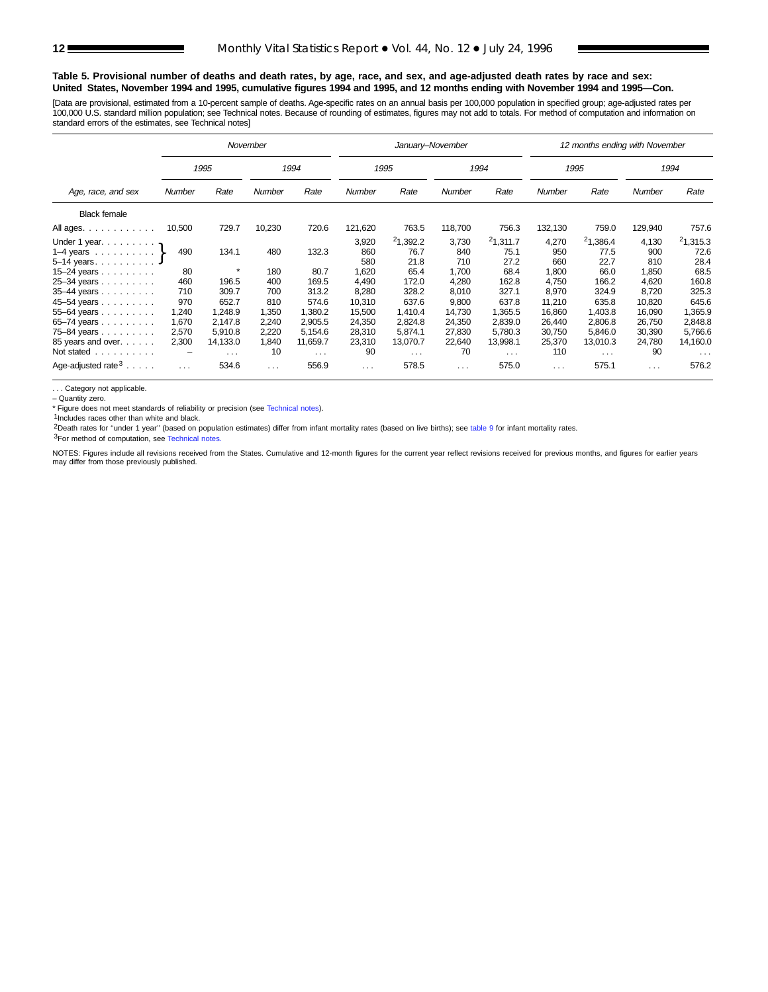#### **Table 5. Provisional number of deaths and death rates, by age, race, and sex, and age-adjusted death rates by race and sex: United States, November 1994 and 1995, cumulative figures 1994 and 1995, and 12 months ending with November 1994 and 1995—Con.**

[Data are provisional, estimated from a 10-percent sample of deaths. Age-specific rates on an annual basis per 100,000 population in specified group; age-adjusted rates per 100,000 U.S. standard million population; se[e Technical notes.](#page-16-0) Because of rounding of estimates, figures may not add to totals. For method of computation and information on standard errors of the estimates, se[e Technical notes\]](#page-16-0)

|                                                                                                                                                    |                                       |                                                       | November                               |                                                       |                                                          | January-November                                            |                                                         |                                                             | 12 months ending with November                           |                                                             |                                                          |                                                             |  |  |
|----------------------------------------------------------------------------------------------------------------------------------------------------|---------------------------------------|-------------------------------------------------------|----------------------------------------|-------------------------------------------------------|----------------------------------------------------------|-------------------------------------------------------------|---------------------------------------------------------|-------------------------------------------------------------|----------------------------------------------------------|-------------------------------------------------------------|----------------------------------------------------------|-------------------------------------------------------------|--|--|
|                                                                                                                                                    |                                       | 1995                                                  |                                        | 1994                                                  |                                                          | 1995                                                        |                                                         | 1994                                                        |                                                          | 1995                                                        | 1994                                                     |                                                             |  |  |
| Age, race, and sex                                                                                                                                 | Number                                | Rate                                                  | Number                                 | Rate                                                  | Number                                                   | Rate                                                        | Number                                                  | Rate                                                        | Number                                                   | Rate                                                        | Number                                                   | Rate                                                        |  |  |
| <b>Black female</b>                                                                                                                                |                                       |                                                       |                                        |                                                       |                                                          |                                                             |                                                         |                                                             |                                                          |                                                             |                                                          |                                                             |  |  |
| All ages.                                                                                                                                          | 10,500                                | 729.7                                                 | 10,230                                 | 720.6                                                 | 121,620                                                  | 763.5                                                       | 118,700                                                 | 756.3                                                       | 132,130                                                  | 759.0                                                       | 129,940                                                  | 757.6                                                       |  |  |
| Under 1 year. $\ldots$<br>1–4 years $\ldots$ $\ldots$ $\}$<br>$5-14$ years. J<br>15–24 years $\ldots$<br>25-34 years<br>35-44 years<br>45-54 years | 490<br>80<br>460<br>710<br>970        | 134.1<br>$\star$<br>196.5<br>309.7<br>652.7           | 480<br>180<br>400<br>700<br>810        | 132.3<br>80.7<br>169.5<br>313.2<br>574.6              | 3,920<br>860<br>580<br>1,620<br>4,490<br>8,280<br>10,310 | 21,392.2<br>76.7<br>21.8<br>65.4<br>172.0<br>328.2<br>637.6 | 3,730<br>840<br>710<br>1,700<br>4,280<br>8,010<br>9,800 | 21,311.7<br>75.1<br>27.2<br>68.4<br>162.8<br>327.1<br>637.8 | 4,270<br>950<br>660<br>1,800<br>4,750<br>8,970<br>11,210 | 21,386.4<br>77.5<br>22.7<br>66.0<br>166.2<br>324.9<br>635.8 | 4,130<br>900<br>810<br>1,850<br>4,620<br>8,720<br>10,820 | 21,315.3<br>72.6<br>28.4<br>68.5<br>160.8<br>325.3<br>645.6 |  |  |
| $55 - 64$ years<br>65-74 years<br>75-84 years<br>85 years and over.<br>Not stated                                                                  | 1,240<br>1,670<br>2,570<br>2,300<br>- | 1,248.9<br>2,147.8<br>5,910.8<br>14,133.0<br>$\cdots$ | 1,350<br>2,240<br>2,220<br>1,840<br>10 | 1,380.2<br>2,905.5<br>5,154.6<br>11,659.7<br>$\cdots$ | 15,500<br>24,350<br>28,310<br>23,310<br>90               | 1,410.4<br>2,824.8<br>5.874.1<br>13,070.7<br>$\cdots$       | 14,730<br>24,350<br>27,830<br>22,640<br>70              | 1,365.5<br>2,839.0<br>5,780.3<br>13,998.1<br>$\cdots$       | 16,860<br>26,440<br>30,750<br>25,370<br>110              | 1,403.8<br>2,806.8<br>5,846.0<br>13,010.3<br>$\cdots$       | 16,090<br>26,750<br>30,390<br>24,780<br>90               | 1,365.9<br>2,848.8<br>5,766.6<br>14,160.0<br>$\cdots$       |  |  |
| Age-adjusted rate $3 \ldots$ .                                                                                                                     | $\cdots$                              | 534.6                                                 | $\cdots$                               | 556.9                                                 | $\sim$ $\sim$ $\sim$                                     | 578.5                                                       | $\sim$ $\sim$ $\sim$                                    | 575.0                                                       | $\cdots$                                                 | 575.1                                                       | $\cdots$                                                 | 576.2                                                       |  |  |

. . . Category not applicable.

– Quantity zero.

\* Figure does not meet standards of reliability or precision (see [Technical notes](#page-16-0)).

 $1$ Includes races other than white and black.

2Death rates for ''under 1 year'' (based on population estimates) differ from infant mortality rates (based on live births); see table 9 for infant mortality rates.

3For method of computation, see [Technical notes](#page-16-0).

NOTES: Figures include all revisions received from the States. Cumulative and 12-month figures for the current year reflect revisions received for previous months, and figures for earlier years may differ from those previously published.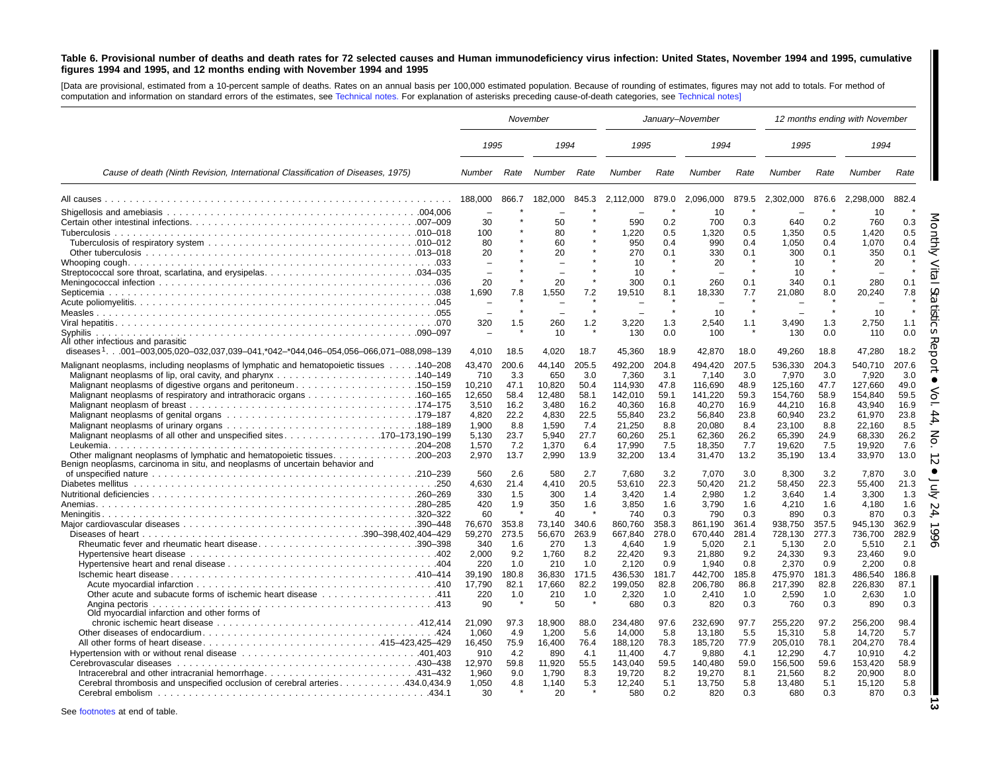#### <span id="page-12-0"></span>Table 6. Provisional number of deaths and death rates for 72 selected causes and Human immunodeficiency virus infection: United States, November 1994 and 1995, cumulative figures 1994 and 1995, and 12 months ending with November 1994 and 1995

[Data are provisional, estimated from <sup>a</sup> 10-percent sample of deaths. Rates on an annual basis per 100,000 estimated population. Because of rounding of estimates, figures may not add to totals. For method of computation and information on standard errors of the estimates, see [Technical](#page-16-0) notes. For explanation of asterisks preceding cause-of-death categories, see Technical notes]

|                                                                                                                                       |                          |                      | November                 |                             |                             |                      | January-November            |                      |                             |                      | 12 months ending with November |                      |
|---------------------------------------------------------------------------------------------------------------------------------------|--------------------------|----------------------|--------------------------|-----------------------------|-----------------------------|----------------------|-----------------------------|----------------------|-----------------------------|----------------------|--------------------------------|----------------------|
|                                                                                                                                       | 1995                     |                      | 1994                     |                             | 1995                        |                      | 1994                        |                      | 1995                        |                      | 1994                           |                      |
| Cause of death (Ninth Revision, International Classification of Diseases, 1975)                                                       | Number Rate              |                      | Number Rate              |                             | Number                      | Rate                 | Number                      | Rate                 | Number                      | Rate                 | Number                         | Rate                 |
|                                                                                                                                       | 188.000                  | 866.7                | 182.000                  | 845.3                       | 2.112.000                   | 879.0                | 2.096.000                   | 879.5                | 2.302.000                   | 876.6                | 2.298.000                      | 882.4                |
|                                                                                                                                       | 30                       |                      | 50                       |                             | 590                         | 0.2                  | 10<br>700                   | 0.3                  | 640                         | 0.2                  | 10<br>760                      | 0.3                  |
|                                                                                                                                       | 100<br>80<br>20          |                      | 80<br>60<br>20           |                             | 1,220<br>950<br>270         | 0.5<br>0.4<br>0.1    | 1,320<br>990<br>330         | 0.5<br>0.4<br>0.1    | 1,350<br>1.050<br>300       | 0.5<br>0.4<br>0.1    | 1,420<br>1.070<br>350          | 0.5<br>0.4<br>0.1    |
|                                                                                                                                       | 20                       |                      | 20                       |                             | 10<br>10                    |                      | 20<br>260                   |                      | 10<br>10<br>340             |                      | 20<br>280                      |                      |
|                                                                                                                                       | 1,690                    | 7.8                  | .550                     | 7.2                         | 300<br>19,510               | 0.1<br>8.1           | 18,330                      | 0.1<br>7.7           | 21,080                      | 0.1<br>8.0           | 20,240                         | 0.1<br>7.8           |
| Syphilis                                                                                                                              | 320                      | 1.5                  | 260<br>10                | 1.2                         | 3,220<br>130                | 1.3<br>0.0           | 10<br>2,540<br>100          | 1.1                  | 3,490<br>130                | 1.3<br>0.0           | 10<br>2,750<br>110             | 1.1<br>0.0           |
| All other infectious and parasitic<br>diseases <sup>1</sup> 001-003,005,020-032,037,039-041,*042-*044,046-054,056-066,071-088,098-139 | 4,010                    | 18.5                 | 4,020                    | 18.7                        | 45,360                      | 18.9                 | 42,870                      | 18.0                 | 49,260                      | 18.8                 | 47,280                         | 18.2                 |
| 140–208. 140–208 Malignant neoplasms of lymphatic and hematopoietic tissues 140–208                                                   | 43,470<br>710<br>10,210  | 200.6<br>3.3<br>47.1 | 44,140<br>650<br>10,820  | 205.5<br>3.0<br>50.4        | 492,200<br>7,360<br>114,930 | 204.8<br>3.1<br>47.8 | 494,420<br>7,140<br>116,690 | 207.5<br>3.0<br>48.9 | 536,330<br>7,970<br>125,160 | 204.3<br>3.0<br>47.7 | 540,710<br>7,920<br>127,660    | 207.6<br>3.0<br>49.0 |
| Malignant neoplasms of respiratory and intrathoracic organs 160–165                                                                   | 12,650<br>3.510<br>4.820 | 58.4<br>16.2<br>22.2 | 12,480<br>3.480<br>4.830 | 58.1<br>16.2<br>22.5        | 142,010<br>40.360<br>55.840 | 59.1<br>16.8<br>23.2 | 141,220<br>40.270<br>56.840 | 59.3<br>16.9<br>23.8 | 154,760<br>44,210<br>60.940 | 58.9<br>16.8<br>23.2 | 154,840<br>43.940<br>61,970    | 59.5<br>16.9<br>23.8 |
| Malignant neoplasms of all other and unspecified sites170–173,190–199                                                                 | 1.900<br>5.130<br>1,570  | 8.8<br>23.7<br>7.2   | 1.590<br>5.940<br>1,370  | 7.4<br>27.7<br>6.4          | 21.250<br>60.260<br>17,990  | 8.8<br>25.1<br>7.5   | 20.080<br>62,360<br>18,350  | 8.4<br>26.2<br>7.7   | 23.100<br>65,390<br>19,620  | 8.8<br>24.9<br>7.5   | 22.160<br>68,330<br>19,920     | 8.5<br>26.2<br>7.6   |
| Benign neoplasms, carcinoma in situ, and neoplasms of uncertain behavior and                                                          | 2,970                    | 13.7                 | 2,990                    | 13.9                        | 32,200                      | 13.4                 | 31,470                      | 13.2                 | 35,190                      | 13.4                 | 33,970                         | 13.0                 |
|                                                                                                                                       | 560<br>4,630<br>330      | 2.6<br>21.4<br>1.5   | 580<br>4,410<br>300      | 2.7<br>20.5<br>1.4          | 7,680<br>53,610<br>3,420    | 3.2<br>22.3<br>1.4   | 7,070<br>50,420<br>2,980    | 3.0<br>21.2<br>1.2   | 8,300<br>58,450<br>3,640    | 3.2<br>22.3<br>1.4   | 7,870<br>55,400<br>3,300       | 3.0<br>21.3<br>1.3   |
|                                                                                                                                       | 420<br>60<br>76,670      | 1.9<br>353.8         | 350<br>40<br>73,140      | 1.6<br>340.6                | 3,850<br>740<br>860,760     | 1.6<br>0.3<br>358.3  | 3,790<br>790<br>861,190     | 1.6<br>0.3<br>361.4  | 4,210<br>890<br>938,750     | 1.6<br>0.3<br>357.5  | 4,180<br>870<br>945,130        | 1.6<br>0.3<br>362.9  |
| Rheumatic fever and rheumatic heart disease390–398                                                                                    | 59,270<br>340            | 273.5<br>1.6         | 56.670<br>270            | 263.9<br>1.3                | 667.840<br>4.640            | 278.0<br>1.9         | 670.440<br>5.020            | 281.4<br>2.1         | 728.130<br>5.130            | 277.3<br>2.0         | 736.700<br>5.510               | 282.9<br>2.1         |
|                                                                                                                                       | 2,000<br>220<br>39,190   | 9.2<br>1.0<br>180.8  | 1,760<br>210<br>36.830   | 8.2<br>1.0<br>171.5         | 22,420<br>2,120<br>436,530  | 9.3<br>0.9<br>181.7  | 21,880<br>1,940<br>442,700  | 9.2<br>0.8<br>185.8  | 24,330<br>2,370<br>475,970  | 9.3<br>0.9<br>181.3  | 23,460<br>2,200<br>486,540     | 9.0<br>0.8<br>186.8  |
|                                                                                                                                       | 17.790<br>220<br>90      | 82.1<br>1.0          | 17.660<br>210<br>50      | 82.2<br>1.0<br>$\pmb{\ast}$ | 199.050<br>2,320<br>680     | 82.8<br>1.0<br>0.3   | 206,780<br>2,410<br>820     | 86.8<br>1.0<br>0.3   | 217,390<br>2,590<br>760     | 82.8<br>1.0<br>0.3   | 226,830<br>2,630<br>890        | 87.1<br>1.0<br>0.3   |
| Old myocardial infarction and other forms of                                                                                          | 21,090                   | 97.3                 | 18,900                   | 88.0                        | 234.480                     | 97.6                 | 232,690                     | 97.7                 | 255,220                     | 97.2                 | 256,200                        | 98.4                 |
| All other forms of heart disease415-423,425-429                                                                                       | 1.060<br>16,450<br>910   | 4.9<br>75.9<br>4.2   | 1.200<br>16,400<br>890   | 5.6<br>76.4<br>4.1          | 14.000<br>188,120<br>11.400 | 5.8<br>78.3<br>4.7   | 13,180<br>185,720<br>9.880  | 5.5<br>77.9<br>4.1   | 15,310<br>205,010<br>12,290 | 5.8<br>78.1<br>4.7   | 14.720<br>204,270<br>10.910    | 5.7<br>78.4<br>4.2   |
| Intracerebral and other intracranial hemorrhage431-432                                                                                | 12,970<br>1,960          | 59.8<br>9.0          | 11,920<br>1,790          | 55.5<br>8.3                 | 143,040<br>19,720           | 59.5<br>8.2          | 140,480<br>19,270           | 59.0<br>8.1          | 156,500<br>21,560           | 59.6<br>8.2          | 153,420<br>20,900              | 58.9<br>8.0          |
| Cerebral thrombosis and unspecified occlusion of cerebral arteries434.0,434.9                                                         | 1,050<br>30              | 4.8                  | 1,140<br>20              | 5.3                         | 12,240<br>580               | 5.1<br>0.2           | 13,750<br>820               | 5.8<br>0.3           | 13,480<br>680               | 5.1<br>0.3           | 15,120<br>870                  | 5.8<br>0.3           |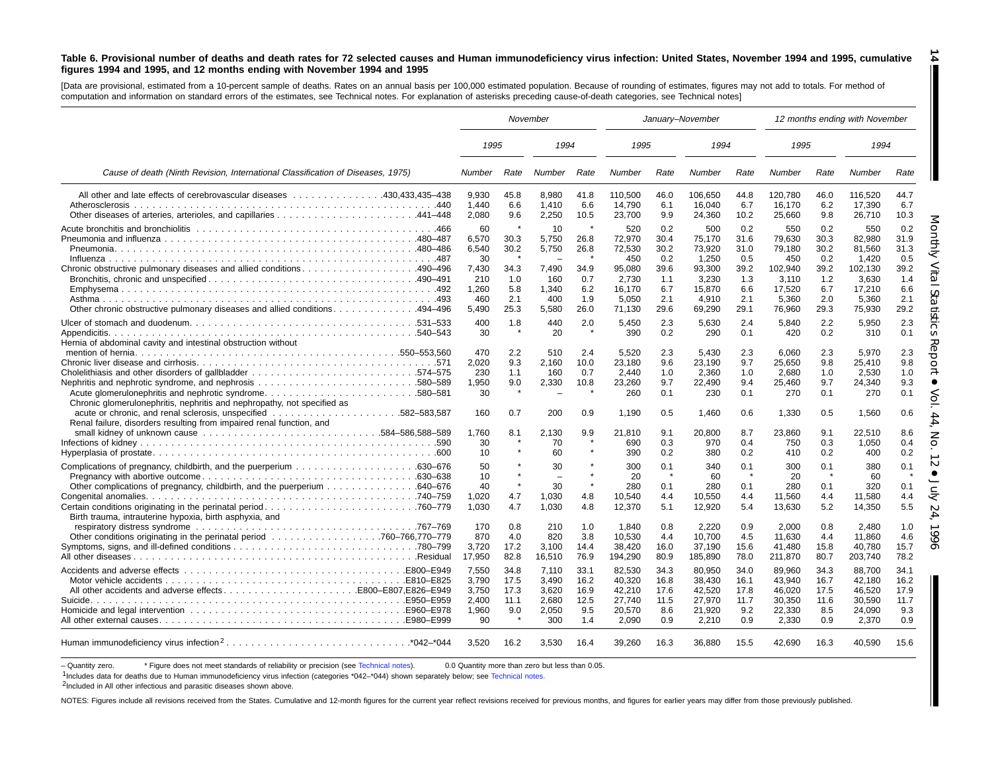#### Table 6. Provisional number of deaths and death rates for 72 selected causes and Human immunodeficiency virus infection: United States, November 1994 and 1995, cumulative figures 1994 and 1995, and 12 months ending with November 1994 and 1995

[Data are provisional, estimated from <sup>a</sup> 10-percent sample of deaths. Rates on an annual basis per 100,000 estimated population. Because of rounding of estimates, figures may not add to totals. For method of computation and information on standard errors of the estimates, see [Technical](#page-16-0) notes. For explanation of asterisks preceding cause-of-death categories, see Technical notes]

|                                                                                                                                                  |                                                                     |                                                   | November                                                      |                                                                   |                                                                                |                                                                 | January-November                                                                 |                                                                 |                                                                                 |                                                                 | 12 months ending with November                                                    |                                                                 |
|--------------------------------------------------------------------------------------------------------------------------------------------------|---------------------------------------------------------------------|---------------------------------------------------|---------------------------------------------------------------|-------------------------------------------------------------------|--------------------------------------------------------------------------------|-----------------------------------------------------------------|----------------------------------------------------------------------------------|-----------------------------------------------------------------|---------------------------------------------------------------------------------|-----------------------------------------------------------------|-----------------------------------------------------------------------------------|-----------------------------------------------------------------|
|                                                                                                                                                  | 1995                                                                |                                                   | 1994                                                          |                                                                   | 1995                                                                           |                                                                 | 1994                                                                             |                                                                 | 1995                                                                            |                                                                 | 1994                                                                              |                                                                 |
| Cause of death (Ninth Revision, International Classification of Diseases, 1975)                                                                  | <b>Number</b>                                                       | Rate                                              | Number                                                        | Rate                                                              | Number                                                                         | Rate                                                            | Number                                                                           | Rate                                                            | Number                                                                          | Rate                                                            | Number                                                                            | Rate                                                            |
| All other and late effects of cerebrovascular diseases 430,433,435-438<br>Atherosclerosis                                                        | 9,930<br>1,440<br>2,080                                             | 45.8<br>6.6<br>9.6                                | 8,980<br>1,410<br>2,250                                       | 41.8<br>6.6<br>10.5                                               | 110,500<br>14,790<br>23,700                                                    | 46.0<br>6.1<br>9.9                                              | 106,650<br>16,040<br>24,360                                                      | 44.8<br>6.7<br>10.2                                             | 120,780<br>16,170<br>25,660                                                     | 46.0<br>6.2<br>9.8                                              | 116,520<br>17,390<br>26,710                                                       | 44.7<br>6.7<br>10.3                                             |
| Chronic obstructive pulmonary diseases and allied conditions490–496<br>0ther chronic obstructive pulmonary diseases and allied conditions494–496 | 60<br>6,570<br>6,540<br>30<br>7.430<br>210<br>1,260<br>460<br>5.490 | 30.3<br>30.2<br>34.3<br>1.0<br>5.8<br>2.1<br>25.3 | 10<br>5,750<br>5,750<br>7.490<br>160<br>1,340<br>400<br>5,580 | $\pmb{\ast}$<br>26.8<br>26.8<br>34.9<br>0.7<br>6.2<br>1.9<br>26.0 | 520<br>72,970<br>72,530<br>450<br>95,080<br>2,730<br>16,170<br>5,050<br>71,130 | 0.2<br>30.4<br>30.2<br>0.2<br>39.6<br>1.1<br>6.7<br>2.1<br>29.6 | 500<br>75,170<br>73,920<br>1,250<br>93.300<br>3,230<br>15,870<br>4,910<br>69,290 | 0.2<br>31.6<br>31.0<br>0.5<br>39.2<br>1.3<br>6.6<br>2.1<br>29.1 | 550<br>79,630<br>79,180<br>450<br>102.940<br>3,110<br>17,520<br>5,360<br>76,960 | 0.2<br>30.3<br>30.2<br>0.2<br>39.2<br>1.2<br>6.7<br>2.0<br>29.3 | 550<br>82,980<br>81,560<br>1,420<br>102.130<br>3,630<br>17,210<br>5,360<br>75,930 | 0.2<br>31.9<br>31.3<br>0.5<br>39.2<br>1.4<br>6.6<br>2.1<br>29.2 |
| Hernia of abdominal cavity and intestinal obstruction without                                                                                    | 400<br>30                                                           | 1.8                                               | 440<br>20                                                     | 2.0                                                               | 5,450<br>390                                                                   | 2.3<br>0.2                                                      | 5.630<br>290                                                                     | 2.4<br>0.1                                                      | 5.840<br>420                                                                    | 2.2<br>0.2                                                      | 5.950<br>310                                                                      | 2.3<br>0.1                                                      |
| Acute glomerulonephritis and nephrotic syndrome580–581<br>Chronic glomerulonephritis, nephritis and nephropathy, not specified as                | 470<br>2.020<br>230<br>1,950<br>30                                  | 2.2<br>9.3<br>1.1<br>9.0                          | 510<br>2.160<br>160<br>2,330                                  | 2.4<br>10.0<br>0.7<br>10.8                                        | 5.520<br>23,180<br>2,440<br>23,260<br>260                                      | 2.3<br>9.6<br>1.0<br>9.7<br>0.1                                 | 5.430<br>23,190<br>2,360<br>22,490<br>230                                        | 2.3<br>9.7<br>1.0<br>9.4<br>0.1                                 | 6.060<br>25.650<br>2,680<br>25,460<br>270                                       | 2.3<br>9.8<br>1.0<br>9.7<br>0.1                                 | 5.970<br>25.410<br>2,530<br>24,340<br>270                                         | 2.3<br>9.8<br>1.0<br>9.3<br>0.1                                 |
| Renal failure, disorders resulting from impaired renal function, and                                                                             | 160<br>1.760<br>30<br>10                                            | 0.7<br>8.1                                        | 200<br>2.130<br>70<br>60                                      | 0.9<br>9.9                                                        | 1,190<br>21.810<br>690<br>390                                                  | 0.5<br>9.1<br>0.3<br>0.2                                        | 1,460<br>20.800<br>970<br>380                                                    | 0.6<br>8.7<br>0.4<br>0.2                                        | 1,330<br>23.860<br>750<br>410                                                   | 0.5<br>9.1<br>0.3<br>0.2                                        | 1,560<br>22.510<br>1,050<br>400                                                   | 0.6<br>8.6<br>0.4<br>0.2                                        |
| Birth trauma, intrauterine hypoxia, birth asphyxia, and                                                                                          | 50<br>10<br>40<br>1,020<br>1,030                                    | 4.7<br>4.7                                        | 30<br>$\overline{\phantom{m}}$<br>30<br>1,030<br>1,030        | $\star$<br>4.8<br>4.8                                             | 300<br>20<br>280<br>10,540<br>12,370                                           | 0.1<br>$\star$<br>0.1<br>4.4<br>5.1                             | 340<br>60<br>280<br>10,550<br>12,920                                             | 0.1<br>0.1<br>4.4<br>5.4                                        | 300<br>20<br>280<br>11,560<br>13,630                                            | 0.1<br>- 41<br>0.1<br>4.4<br>5.2                                | 380<br>60<br>320<br>11,580<br>14,350                                              | 0.1<br>0.1<br>4.4<br>5.5                                        |
|                                                                                                                                                  | 170<br>870<br>3,720<br>17,950                                       | 0.8<br>4.0<br>17.2<br>82.8                        | 210<br>820<br>3,100<br>16,510                                 | 1.0<br>3.8<br>14.4<br>76.9                                        | 1.840<br>10,530<br>38,420<br>194,290                                           | 0.8<br>4.4<br>16.0<br>80.9                                      | 2.220<br>10.700<br>37,190<br>185,890                                             | 0.9<br>4.5<br>15.6<br>78.0                                      | 2.000<br>11,630<br>41,480<br>211,870                                            | 0.8<br>4.4<br>15.8<br>80.7                                      | 2.480<br>11.860<br>40,780<br>203,740                                              | 1.0<br>4.6<br>15.7<br>78.2                                      |
| All other accidents and adverse effectsE800-E807,E826-E949                                                                                       | 7.550<br>3.790<br>3,750<br>2.400<br>1,960<br>90                     | 34.8<br>17.5<br>17.3<br>11.1<br>9.0               | 7.110<br>3.490<br>3,620<br>2,680<br>2,050<br>300              | 33.1<br>16.2<br>16.9<br>12.5<br>9.5<br>1.4                        | 82,530<br>40.320<br>42,210<br>27,740<br>20,570<br>2,090                        | 34.3<br>16.8<br>17.6<br>11.5<br>8.6<br>0.9                      | 80,950<br>38.430<br>42,520<br>27,970<br>21,920<br>2,210                          | 34.0<br>16.1<br>17.8<br>11.7<br>9.2<br>0.9                      | 89.960<br>43.940<br>46,020<br>30,350<br>22,330<br>2,330                         | 34.3<br>16.7<br>17.5<br>11.6<br>8.5<br>0.9                      | 88.700<br>42.180<br>46,520<br>30.590<br>24,090<br>2,370                           | 34.1<br>16.2<br>17.9<br>11.7<br>9.3<br>0.9                      |
|                                                                                                                                                  | 3,520                                                               | 16.2                                              | 3,530                                                         | 16.4                                                              | 39,260                                                                         | 16.3                                                            | 36,880                                                                           | 15.5                                                            | 42,690                                                                          | 16.3                                                            | 40,590                                                                            | 15.6                                                            |

- Quantity zero. \* Figure does not meet standards of reliability or precision (see [Technical](#page-16-0) notes). 0.0 Quantity more than zero but less than 0.05.

1Includes data for deaths due to Human immunodeficiency virus infection (categories \*042-\*044) shown separately below; see [Technical](#page-16-0) notes.

<sup>2</sup>Included in All other infectious and parasitic diseases shown above.

NOTES: Figures include all revisions received from the States. Cumulative and 12-month figures for the current year reflect revisions received for previous months, and figures for earlier years may differ from those previo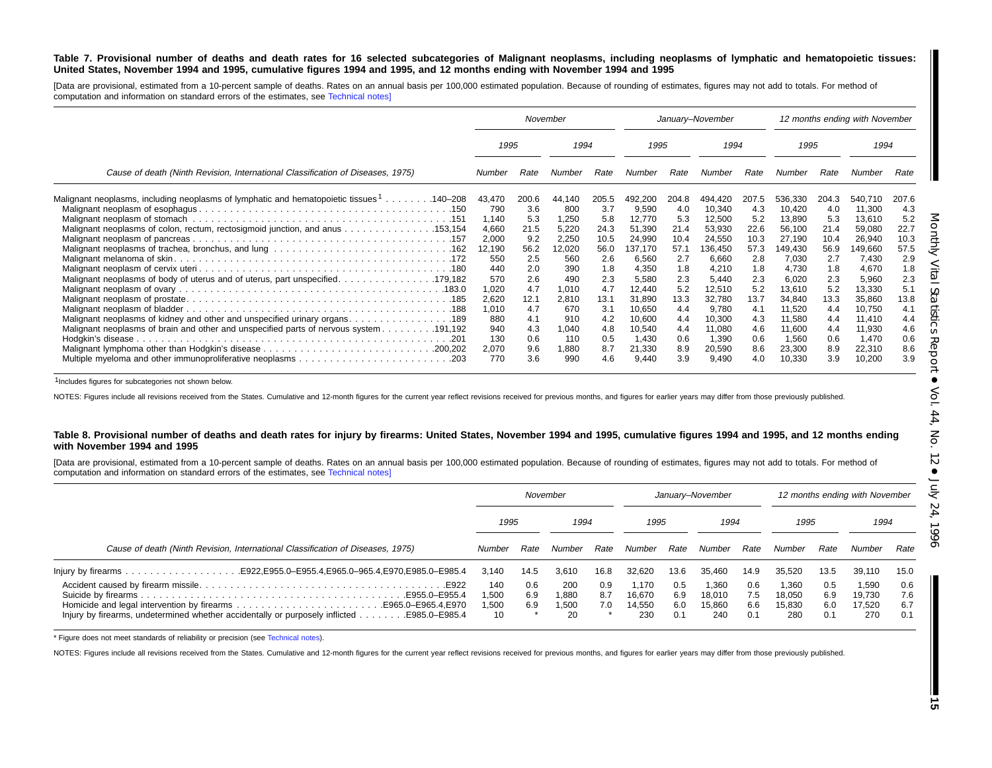#### Table 7. Provisional number of deaths and death rates for 16 selected subcategories of Malignant neoplasms, including neoplasms of lymphatic and hematopoietic tissues: United States, November 1994 and 1995, cumulative figures 1994 and 1995, and 12 months ending with November 1994 and 1995

[Data are provisional, estimated from a 10-percent sample of deaths. Rates on an annual basis per 100,000 estimated population. Because of rounding of estimates, figures may not add to totals. For method of computation and information on standard errors of the estimates, see [Technical](#page-16-0) notes]

|                                                                                                                                                                                   |                                                                                                           | November                                                                                     |                                                                                                         |                                                                                               |                                                                                                                              |                                                                                               | January-November                                                                                                             |                                                                                               |                                                                                                                               |                                                                                               | 12 months ending with November                                                                                                |                                                                                               |
|-----------------------------------------------------------------------------------------------------------------------------------------------------------------------------------|-----------------------------------------------------------------------------------------------------------|----------------------------------------------------------------------------------------------|---------------------------------------------------------------------------------------------------------|-----------------------------------------------------------------------------------------------|------------------------------------------------------------------------------------------------------------------------------|-----------------------------------------------------------------------------------------------|------------------------------------------------------------------------------------------------------------------------------|-----------------------------------------------------------------------------------------------|-------------------------------------------------------------------------------------------------------------------------------|-----------------------------------------------------------------------------------------------|-------------------------------------------------------------------------------------------------------------------------------|-----------------------------------------------------------------------------------------------|
|                                                                                                                                                                                   | 1995                                                                                                      |                                                                                              | 1994                                                                                                    |                                                                                               | 1995                                                                                                                         |                                                                                               | 1994                                                                                                                         |                                                                                               |                                                                                                                               | 1995                                                                                          |                                                                                                                               | 1994                                                                                          |
| Cause of death (Ninth Revision, International Classification of Diseases, 1975)                                                                                                   | Number                                                                                                    | Rate                                                                                         | Number                                                                                                  | Rate                                                                                          | Number                                                                                                                       | Rate                                                                                          | Number                                                                                                                       | Rate                                                                                          | Number                                                                                                                        | Rate                                                                                          | Number                                                                                                                        | Rate                                                                                          |
| 140–208. 140–208 Malignant neoplasms of lymphatic and hematopoietic tissues <sup>1</sup> 140–208<br>Malignant neoplasms of colon, rectum, rectosigmoid junction, and anus 153,154 | 43,470<br>790<br>1,140<br>4,660<br>2,000<br>12,190<br>550<br>440<br>570<br>1,020<br>2,620<br>1,010<br>880 | 200.6<br>3.6<br>5.3<br>21.5<br>9.2<br>56.2<br>2.5<br>2.0<br>2.6<br>4.7<br>12.1<br>4.7<br>4.1 | 44,140<br>800<br>1,250<br>5,220<br>2,250<br>12,020<br>560<br>390<br>490<br>1,010<br>2,810<br>670<br>910 | 205.5<br>3.7<br>5.8<br>24.3<br>10.5<br>56.0<br>2.6<br>1.8<br>2.3<br>4.7<br>13.1<br>3.1<br>4.2 | 492,200<br>9,590<br>12,770<br>51,390<br>24,990<br>137.170<br>6,560<br>4,350<br>5,580<br>12,440<br>31,890<br>10.650<br>10,600 | 204.8<br>4.0<br>5.3<br>21.4<br>10.4<br>57.1<br>2.7<br>1.8<br>2.3<br>5.2<br>13.3<br>4.4<br>4.4 | 494,420<br>10,340<br>12,500<br>53,930<br>24,550<br>136,450<br>6,660<br>4,210<br>5,440<br>12,510<br>32,780<br>9,780<br>10,300 | 207.5<br>4.3<br>5.2<br>22.6<br>10.3<br>57.3<br>2.8<br>1.8<br>2.3<br>5.2<br>13.7<br>4.1<br>4.3 | 536,330<br>10,420<br>13,890<br>56,100<br>27,190<br>149,430<br>7,030<br>4,730<br>6,020<br>13,610<br>34,840<br>11,520<br>11,580 | 204.3<br>4.0<br>5.3<br>21.4<br>10.4<br>56.9<br>2.7<br>1.8<br>2.3<br>5.2<br>13.3<br>4.4<br>4.4 | 540,710<br>11,300<br>13,610<br>59,080<br>26,940<br>149,660<br>7,430<br>4,670<br>5,960<br>13,330<br>35,860<br>10,750<br>11,410 | 207.6<br>4.3<br>5.2<br>22.7<br>10.3<br>57.5<br>2.9<br>1.8<br>2.3<br>5.1<br>13.8<br>4.1<br>4.4 |
| 191,192. Malignant neoplasms of brain and other and unspecified parts of nervous system 191,192                                                                                   | 940<br>130<br>2,070<br>770                                                                                | 4.3<br>0.6<br>9.6<br>3.6                                                                     | 040, ا<br>110<br>880, ا<br>990                                                                          | 4.8<br>0.5<br>8.7<br>4.6                                                                      | 10,540<br>1,430<br>21,330<br>9,440                                                                                           | 4.4<br>0.6<br>8.9<br>3.9                                                                      | 11,080<br>1,390<br>20,590<br>9,490                                                                                           | 4.6<br>0.6<br>8.6<br>4.0                                                                      | 11,600<br>1,560<br>23,300<br>10,330                                                                                           | 4.4<br>0.6<br>8.9<br>3.9                                                                      | 11,930<br>1,470<br>22,310<br>10,200                                                                                           | 4.6<br>0.6<br>8.6<br>3.9                                                                      |

1Includes figures for subcategories not shown below.

NOTES: Figures include all revisions received from the States. Cumulative and 12-month figures for the current year reflect revisions received for previous months, and figures for earlier years may differ from those previo

#### Table 8. Provisional number of deaths and death rates for injury by firearms: United States, November 1994 and 1995, cumulative figures 1994 and 1995, and 12 months ending **with November 1994 and 1995**

[Data are provisional, estimated from a 10-percent sample of deaths. Rates on an annual basis per 100,000 estimated population. Because of rounding of estimates, figures may not add to totals. For method of computation and information on standard errors of the estimates, see [Technical](#page-16-0) notes]

|                                                                                                                     |                             |                   | November                    |                   |                                  |                          | January-November                 |                          | 12 months ending with November   |                          |                                  |                          |
|---------------------------------------------------------------------------------------------------------------------|-----------------------------|-------------------|-----------------------------|-------------------|----------------------------------|--------------------------|----------------------------------|--------------------------|----------------------------------|--------------------------|----------------------------------|--------------------------|
|                                                                                                                     | 1995                        |                   | 1994                        |                   | 1995                             |                          | 1994                             |                          | 1995                             |                          | 1994                             |                          |
| Cause of death (Ninth Revision, International Classification of Diseases, 1975)                                     | Number                      | Rate              | Number                      | Rate              | Number                           | Rate                     | Number                           | Rate                     | Number                           | Rate                     | Number                           | Rate                     |
|                                                                                                                     | 3.140                       | 14.5              | 3,610                       | 16.8              | 32.620                           | 13.6                     | 35.460                           | 14.9                     | 35.520                           | 13.5                     | 39,110                           | 15.0                     |
| E922.<br>E955.0-E955.4<br>Injury by firearms, undetermined whether accidentally or purposely inflicted 985.0–E985.4 | 140<br>.500<br>500. ا<br>10 | 0.6<br>6.9<br>6.9 | 200<br>1.880<br>1.500<br>20 | 0.9<br>8.7<br>7.0 | 1.170<br>16.670<br>14.550<br>230 | 0.5<br>6.9<br>6.0<br>0.1 | 1.360<br>18.010<br>15.860<br>240 | 0.6<br>7.5<br>6.6<br>0.1 | 1.360<br>18.050<br>15.830<br>280 | 0.5<br>6.9<br>6.0<br>0.1 | 1.590<br>19.730<br>17.520<br>270 | 0.6<br>7.6<br>6.7<br>0.1 |

\* Figure does not meet standards of reliability or precision (see [Technical](#page-16-0) notes).

NOTES: Figures include all revisions received from the States. Cumulative and 12-month figures for the current year reflect revisions received for previous months, and figures for earlier years may differ from those previo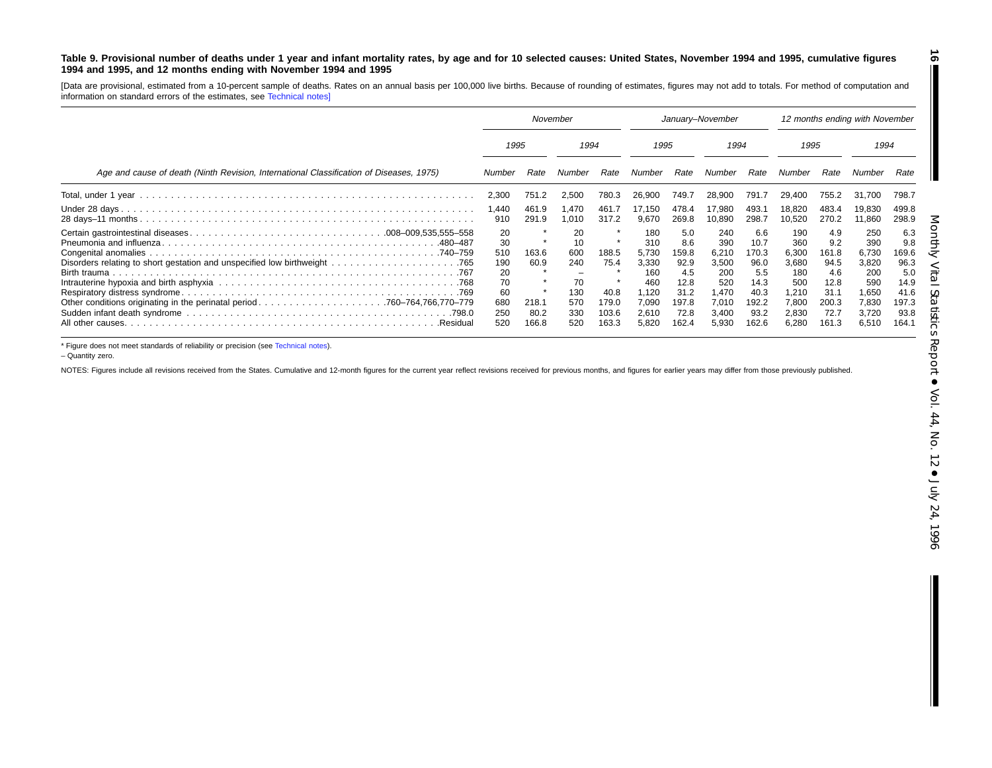#### Table 9. Provisional number of deaths under 1 year and infant mortality rates, by age and for 10 selected causes: United States, November 1994 and 1995, cumulative figures **1994 and 1995, and 12 months ending with November 1994 and 1995**

[Data are provisional, estimated from <sup>a</sup> 10-percent sample of deaths. Rates on an annual basis per 100,000 live births. Because of rounding of estimates, figures may not add to totals. For method of computation and information on standard errors of the estimates, see [Technical](#page-16-0) notes]

|                                                                                         | November                                                      |                                         |                                                          |                                                  | January-November                                                               |                                                                              |                                                                                |                                                                               | 12 months ending with November                                                 |                                                                              |                                                                                |                                                                              |  |
|-----------------------------------------------------------------------------------------|---------------------------------------------------------------|-----------------------------------------|----------------------------------------------------------|--------------------------------------------------|--------------------------------------------------------------------------------|------------------------------------------------------------------------------|--------------------------------------------------------------------------------|-------------------------------------------------------------------------------|--------------------------------------------------------------------------------|------------------------------------------------------------------------------|--------------------------------------------------------------------------------|------------------------------------------------------------------------------|--|
|                                                                                         |                                                               | 1995                                    |                                                          | 1994                                             |                                                                                | 1995                                                                         |                                                                                | 1994                                                                          |                                                                                | 1995                                                                         |                                                                                | 1994                                                                         |  |
| Age and cause of death (Ninth Revision, International Classification of Diseases, 1975) | Number                                                        | Rate                                    | Number                                                   | Rate                                             | Number                                                                         | Rate                                                                         | Number                                                                         | Rate                                                                          | Number                                                                         | Rate                                                                         | Number                                                                         | Rate                                                                         |  |
|                                                                                         | 2,300                                                         | 751.2                                   | 2,500                                                    | 780.3                                            | 26.900                                                                         | 749.7                                                                        | 28.900                                                                         | 791.                                                                          | 29.400                                                                         | 755.2                                                                        | 31.700                                                                         | 798.7                                                                        |  |
|                                                                                         | 1,440<br>910                                                  | 461.9<br>291.9                          | .470<br>.010                                             | 461.<br>317.2                                    | 17.150<br>9.670                                                                | 478.4<br>269.8                                                               | 17,980<br>10,890                                                               | 493.<br>298.7                                                                 | 18,820<br>10,520                                                               | 483.4<br>270.2                                                               | 19,830<br>11,860                                                               | 499.8<br>298.9                                                               |  |
| .480–487<br>All other causes.<br>.Residual                                              | 20<br>30<br>510<br>190<br>20<br>70<br>60<br>680<br>250<br>520 | 163.6<br>60.9<br>218.1<br>80.2<br>166.8 | 20<br>10<br>600<br>240<br>70<br>130<br>570<br>330<br>520 | 188.5<br>75.4<br>40.8<br>179.0<br>103.6<br>163.3 | 180<br>310<br>5.730<br>3,330<br>160<br>460<br>1.120<br>7,090<br>2,610<br>5,820 | 5.0<br>8.6<br>159.8<br>92.9<br>4.5<br>12.8<br>31.2<br>197.8<br>72.8<br>162.4 | 240<br>390<br>6.210<br>3,500<br>200<br>520<br>1,470<br>7.010<br>3,400<br>5,930 | 6.6<br>10.7<br>170.3<br>96.0<br>5.5<br>14.3<br>40.3<br>192.2<br>93.2<br>162.6 | 190<br>360<br>6,300<br>3,680<br>180<br>500<br>1,210<br>7,800<br>2,830<br>6,280 | 4.9<br>9.2<br>161.8<br>94.5<br>4.6<br>12.8<br>31.1<br>200.3<br>72.7<br>161.3 | 250<br>390<br>6,730<br>3,820<br>200<br>590<br>1,650<br>7,830<br>3,720<br>6,510 | 6.3<br>9.8<br>169.6<br>96.3<br>5.0<br>14.9<br>41.6<br>197.3<br>93.8<br>164.1 |  |

\* Figure does not meet standards of reliability or precision (see [Technical](#page-16-0) notes).

– Quantity zero.

NOTES: Figures include all revisions received from the States. Cumulative and 12-month figures for the current year reflect revisions received for previous months, and figures for earlier years may differ from those previo

**16**

 $\blacksquare$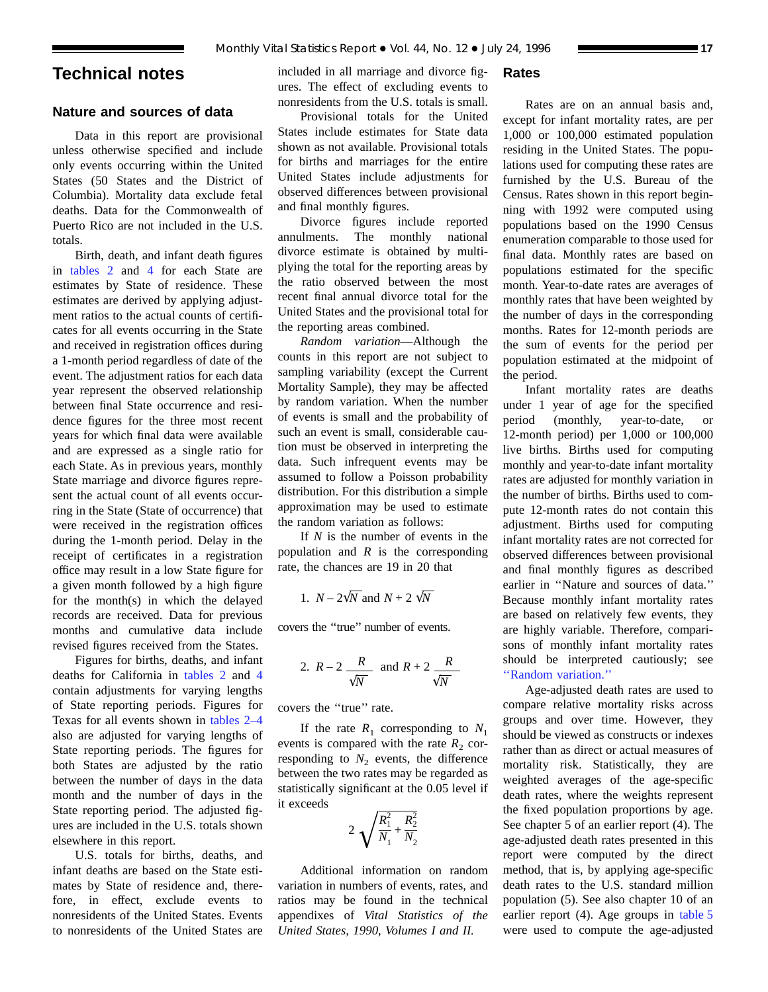# <span id="page-16-0"></span>**Technical notes**

# **Nature and sources of data**

Data in this report are provisional unless otherwise specified and include only events occurring within the United States (50 States and the District of Columbia). Mortality data exclude fetal deaths. Data for the Commonwealth of Puerto Rico are not included in the U.S. totals.

Birth, death, and infant death figures in [tables 2](#page-6-0) and [4](#page-8-0) for each State are estimates by State of residence. These estimates are derived by applying adjustment ratios to the actual counts of certificates for all events occurring in the State and received in registration offices during a 1-month period regardless of date of the event. The adjustment ratios for each data year represent the observed relationship between final State occurrence and residence figures for the three most recent years for which final data were available and are expressed as a single ratio for each State. As in previous years, monthly State marriage and divorce figures represent the actual count of all events occurring in the State (State of occurrence) that were received in the registration offices during the 1-month period. Delay in the receipt of certificates in a registration office may result in a low State figure for a given month followed by a high figure for the month(s) in which the delayed records are received. Data for previous months and cumulative data include revised figures received from the States.

Figures for births, deaths, and infant deaths for California in [tables 2](#page-6-0) and [4](#page-8-0) contain adjustments for varying lengths of State reporting periods. Figures for Texas for all events shown in [tables 2–4](#page-6-0) also are adjusted for varying lengths of State reporting periods. The figures for both States are adjusted by the ratio between the number of days in the data month and the number of days in the State reporting period. The adjusted figures are included in the U.S. totals shown elsewhere in this report.

U.S. totals for births, deaths, and infant deaths are based on the State estimates by State of residence and, therefore, in effect, exclude events to nonresidents of the United States. Events to nonresidents of the United States are included in all marriage and divorce figures. The effect of excluding events to nonresidents from the U.S. totals is small.

# Provisional totals for the United States include estimates for State data shown as not available. Provisional totals for births and marriages for the entire United States include adjustments for observed differences between provisional and final monthly figures.

Divorce figures include reported annulments. The monthly national divorce estimate is obtained by multiplying the total for the reporting areas by the ratio observed between the most recent final annual divorce total for the United States and the provisional total for the reporting areas combined.

*Random variation*—Although the counts in this report are not subject to sampling variability (except the Current Mortality Sample), they may be affected by random variation. When the number of events is small and the probability of such an event is small, considerable caution must be observed in interpreting the data. Such infrequent events may be assumed to follow a Poisson probability distribution. For this distribution a simple approximation may be used to estimate the random variation as follows:

If *N* is the number of events in the population and *R* is the corresponding rate, the chances are 19 in 20 that

1. 
$$
N - 2\sqrt{N}
$$
 and  $N + 2\sqrt{N}$ 

covers the ''true'' number of events.

2. 
$$
R-2
$$
  $\frac{R}{\sqrt{N}}$  and  $R+2$   $\frac{R}{\sqrt{N}}$ 

covers the ''true'' rate.

If the rate  $R_1$  corresponding to  $N_1$ events is compared with the rate  $R_2$  corresponding to  $N_2$  events, the difference between the two rates may be regarded as statistically significant at the 0.05 level if it exceeds

$$
2\sqrt{\frac{R_1^2}{N_1} + \frac{R_2^2}{N_2}}
$$

Additional information on random variation in numbers of events, rates, and ratios may be found in the technical appendixes of *Vital Statistics of the United States, 1990, Volumes I and II.*

# **Rates**

Rates are on an annual basis and, except for infant mortality rates, are per 1,000 or 100,000 estimated population residing in the United States. The populations used for computing these rates are furnished by the U.S. Bureau of the Census. Rates shown in this report beginning with 1992 were computed using populations based on the 1990 Census enumeration comparable to those used for final data. Monthly rates are based on populations estimated for the specific month. Year-to-date rates are averages of monthly rates that have been weighted by the number of days in the corresponding months. Rates for 12-month periods are the sum of events for the period per population estimated at the midpoint of the period.

Infant mortality rates are deaths under 1 year of age for the specified period (monthly, year-to-date, or 12-month period) per 1,000 or 100,000 live births. Births used for computing monthly and year-to-date infant mortality rates are adjusted for monthly variation in the number of births. Births used to compute 12-month rates do not contain this adjustment. Births used for computing infant mortality rates are not corrected for observed differences between provisional and final monthly figures as described earlier in ''Nature and sources of data.'' Because monthly infant mortality rates are based on relatively few events, they are highly variable. Therefore, comparisons of monthly infant mortality rates should be interpreted cautiously; see ''Random variation.''

Age-adjusted death rates are used to compare relative mortality risks across groups and over time. However, they should be viewed as constructs or indexes rather than as direct or actual measures of mortality risk. Statistically, they are weighted averages of the age-specific death rates, where the weights represent the fixed population proportions by age. See chapter 5 of an earlier report (4). The age-adjusted death rates presented in this report were computed by the direct method, that is, by applying age-specific death rates to the U.S. standard million population (5). See also chapter 10 of an earlier report (4). Age groups in [table 5](#page-9-0) were used to compute the age-adjusted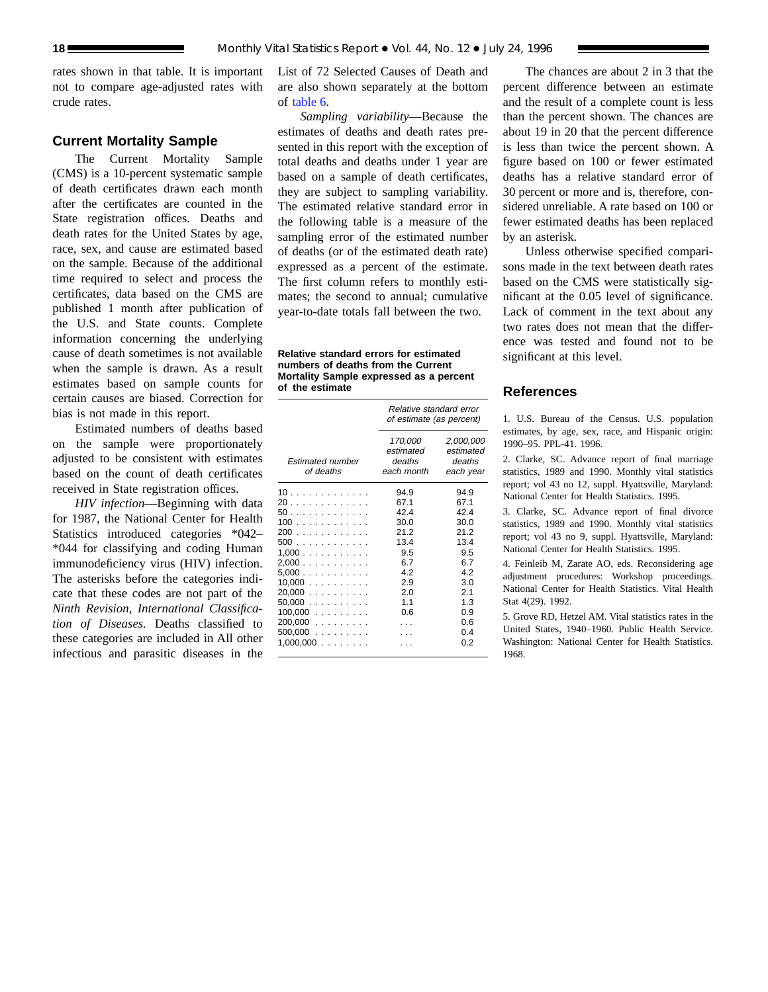rates shown in that table. It is important not to compare age-adjusted rates with crude rates.

#### **Current Mortality Sample**

The Current Mortality Sample (CMS) is a 10-percent systematic sample of death certificates drawn each month after the certificates are counted in the State registration offices. Deaths and death rates for the United States by age, race, sex, and cause are estimated based on the sample. Because of the additional time required to select and process the certificates, data based on the CMS are published 1 month after publication of the U.S. and State counts. Complete information concerning the underlying cause of death sometimes is not available when the sample is drawn. As a result estimates based on sample counts for certain causes are biased. Correction for bias is not made in this report.

Estimated numbers of deaths based on the sample were proportionately adjusted to be consistent with estimates based on the count of death certificates received in State registration offices.

*HIV infection*—Beginning with data for 1987, the National Center for Health Statistics introduced categories \*042– \*044 for classifying and coding Human immunodeficiency virus (HIV) infection. The asterisks before the categories indicate that these codes are not part of the *Ninth Revision, International Classification of Diseases.* Deaths classified to these categories are included in All other infectious and parasitic diseases in the

List of 72 Selected Causes of Death and are also shown separately at the bottom of [table 6](#page-12-0).

*Sampling variability*—Because the estimates of deaths and death rates presented in this report with the exception of total deaths and deaths under 1 year are based on a sample of death certificates, they are subject to sampling variability. The estimated relative standard error in the following table is a measure of the sampling error of the estimated number of deaths (or of the estimated death rate) expressed as a percent of the estimate. The first column refers to monthly estimates; the second to annual; cumulative year-to-date totals fall between the two.

#### **Relative standard errors for estimated numbers of deaths from the Current Mortality Sample expressed as a percent of the estimate**

|                                      | Relative standard error<br>of estimate (as percent) |                                               |  |  |
|--------------------------------------|-----------------------------------------------------|-----------------------------------------------|--|--|
| <b>Estimated number</b><br>of deaths | 170,000<br>estimated<br>deaths<br>each month        | 2,000,000<br>estimated<br>deaths<br>each year |  |  |
| 10                                   | 94.9                                                | 94.9                                          |  |  |
| 20                                   | 67.1                                                | 67.1                                          |  |  |
| 50                                   | 42.4                                                | 42.4                                          |  |  |
| 100                                  | 30.0                                                | 30.0                                          |  |  |
| 200                                  | 21.2                                                | 21.2                                          |  |  |
| 500                                  | 13.4                                                | 13.4                                          |  |  |
| 1,000                                | 9.5                                                 | 9.5                                           |  |  |
| 2,000                                | 6.7                                                 | 6.7                                           |  |  |
| 5,000                                | 4.2                                                 | 4.2                                           |  |  |
| 10,000                               | 2.9                                                 | 3.0                                           |  |  |
| 20,000                               | -2.0                                                | 2.1                                           |  |  |
| $50,000$                             | 1.1                                                 | 1.3                                           |  |  |
| $100,000$                            | 0.6                                                 | 0.9                                           |  |  |
| 200,000                              | $\cdots$                                            | 0.6                                           |  |  |
| $500,000$                            | $\cdots$                                            | 0.4                                           |  |  |
| $1,000,000$                          |                                                     | 0.2                                           |  |  |
|                                      |                                                     |                                               |  |  |

The chances are about 2 in 3 that the percent difference between an estimate and the result of a complete count is less than the percent shown. The chances are about 19 in 20 that the percent difference is less than twice the percent shown. A figure based on 100 or fewer estimated deaths has a relative standard error of 30 percent or more and is, therefore, considered unreliable. A rate based on 100 or fewer estimated deaths has been replaced by an asterisk.

Unless otherwise specified comparisons made in the text between death rates based on the CMS were statistically significant at the 0.05 level of significance. Lack of comment in the text about any two rates does not mean that the difference was tested and found not to be significant at this level.

# **References**

1. U.S. Bureau of the Census. U.S. population estimates, by age, sex, race, and Hispanic origin: 1990–95. PPL-41. 1996.

2. Clarke, SC. Advance report of final marriage statistics, 1989 and 1990. Monthly vital statistics report; vol 43 no 12, suppl. Hyattsville, Maryland: National Center for Health Statistics. 1995.

3. Clarke, SC. Advance report of final divorce statistics, 1989 and 1990. Monthly vital statistics report; vol 43 no 9, suppl. Hyattsville, Maryland: National Center for Health Statistics. 1995.

4. Feinleib M, Zarate AO, eds. Reconsidering age adjustment procedures: Workshop proceedings. National Center for Health Statistics. Vital Health Stat 4(29). 1992.

5. Grove RD, Hetzel AM. Vital statistics rates in the United States, 1940–1960. Public Health Service. Washington: National Center for Health Statistics. 1968.